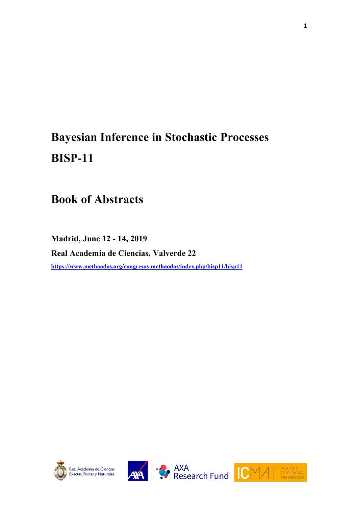# **Bayesian Inference in Stochastic Processes BISP-11**

**Book of Abstracts**

**Madrid, June 12 - 14, 2019 Real Academia de Ciencias, Valverde 22 https://www.methaodos.org/congresos-methaodos/index.php/bisp11/bisp11**







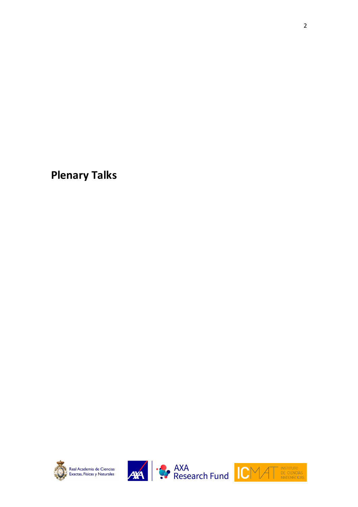**Plenary Talks**







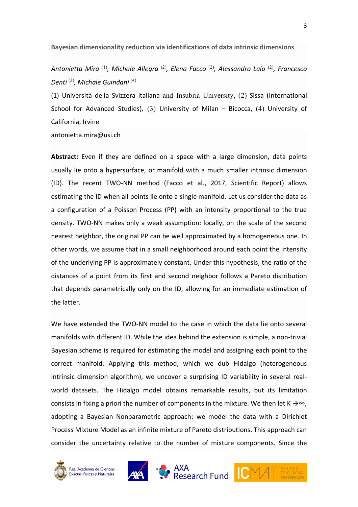**Bayesian dimensionality reduction via identifications of data intrinsic dimensions**

*Antonietta Mira* (1)*, Michale Allegra* (2)*, Elena Facco* (2)*, Alessandro Laio* (2)*, Francesco Denti* (3)*, Michale Guindani* (4)

(1) Università della Svizzera italiana and Insubria University, (2) Sissa (International School for Advanced Studies), (3) University of Milan – Bicocca, (4) University of California, Irvine

antonietta.mira@usi.ch

**Abstract:** Even if they are defined on a space with a large dimension, data points usually lie onto a hypersurface, or manifold with a much smaller intrinsic dimension (ID). The recent TWO-NN method (Facco et al., 2017, Scientific Report) allows estimating the ID when all points lie onto a single manifold. Let us consider the data as a configuration of a Poisson Process (PP) with an intensity proportional to the true density. TWO-NN makes only a weak assumption: locally, on the scale of the second nearest neighbor, the original PP can be well approximated by a homogeneous one. In other words, we assume that in a small neighborhood around each point the intensity of the underlying PP is approximately constant. Under this hypothesis, the ratio of the distances of a point from its first and second neighbor follows a Pareto distribution that depends parametrically only on the ID, allowing for an immediate estimation of the latter.

We have extended the TWO-NN model to the case in which the data lie onto several manifolds with different ID. While the idea behind the extension is simple, a non-trivial Bayesian scheme is required for estimating the model and assigning each point to the correct manifold. Applying this method, which we dub Hidalgo (heterogeneous intrinsic dimension algorithm), we uncover a surprising ID variability in several realworld datasets. The Hidalgo model obtains remarkable results, but its limitation consists in fixing a priori the number of components in the mixture. We then let K  $\rightarrow \infty$ , adopting a Bayesian Nonparametric approach: we model the data with a Dirichlet Process Mixture Model as an infinite mixture of Pareto distributions. This approach can consider the uncertainty relative to the number of mixture components. Since the





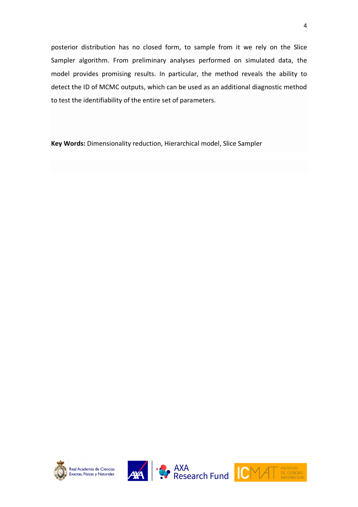posterior distribution has no closed form, to sample from it we rely on the Slice Sampler algorithm. From preliminary analyses performed on simulated data, the model provides promising results. In particular, the method reveals the ability to detect the ID of MCMC outputs, which can be used as an additional diagnostic method to test the identifiability of the entire set of parameters.

**Key Words:** Dimensionality reduction, Hierarchical model, Slice Sampler







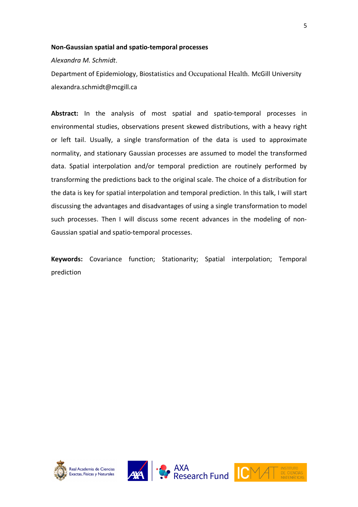#### **Non-Gaussian spatial and spatio-temporal processes**

*Alexandra M. Schmidt*.

Department of Epidemiology, Biostatistics and Occupational Health. McGill University alexandra.schmidt@mcgill.ca

**Abstract:** In the analysis of most spatial and spatio-temporal processes in environmental studies, observations present skewed distributions, with a heavy right or left tail. Usually, a single transformation of the data is used to approximate normality, and stationary Gaussian processes are assumed to model the transformed data. Spatial interpolation and/or temporal prediction are routinely performed by transforming the predictions back to the original scale. The choice of a distribution for the data is key for spatial interpolation and temporal prediction. In this talk, I will start discussing the advantages and disadvantages of using a single transformation to model such processes. Then I will discuss some recent advances in the modeling of non-Gaussian spatial and spatio-temporal processes.

**Keywords:** Covariance function; Stationarity; Spatial interpolation; Temporal prediction







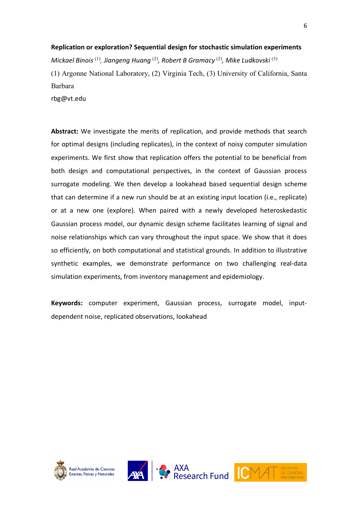#### **Replication or exploration? Sequential design for stochastic simulation experiments**

*Mickael Binois* (1)*, Jiangeng Huang* (2)*, Robert B Gramacy* (2)*, Mike Ludkovski* (3) (1) Argonne National Laboratory, (2) Virginia Tech, (3) University of California, Santa Barbara

rbg@vt.edu

**Abstract:** We investigate the merits of replication, and provide methods that search for optimal designs (including replicates), in the context of noisy computer simulation experiments. We first show that replication offers the potential to be beneficial from both design and computational perspectives, in the context of Gaussian process surrogate modeling. We then develop a lookahead based sequential design scheme that can determine if a new run should be at an existing input location (i.e., replicate) or at a new one (explore). When paired with a newly developed heteroskedastic Gaussian process model, our dynamic design scheme facilitates learning of signal and noise relationships which can vary throughout the input space. We show that it does so efficiently, on both computational and statistical grounds. In addition to illustrative synthetic examples, we demonstrate performance on two challenging real-data simulation experiments, from inventory management and epidemiology.

**Keywords:** computer experiment, Gaussian process, surrogate model, inputdependent noise, replicated observations, lookahead







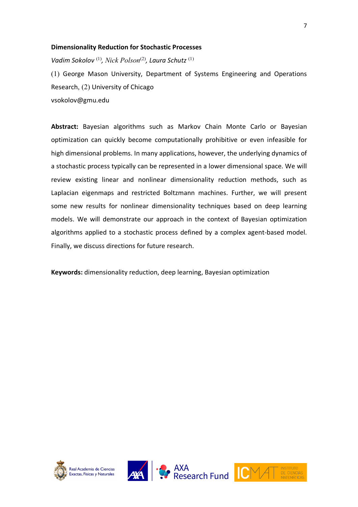#### **Dimensionality Reduction for Stochastic Processes**

*Vadim Sokolov* (1) *, Nick Polson*(2)*, Laura Schutz* (1)

(1) George Mason University, Department of Systems Engineering and Operations Research, (2) University of Chicago vsokolov@gmu.edu

**Abstract:** Bayesian algorithms such as Markov Chain Monte Carlo or Bayesian optimization can quickly become computationally prohibitive or even infeasible for high dimensional problems. In many applications, however, the underlying dynamics of a stochastic process typically can be represented in a lower dimensional space. We will review existing linear and nonlinear dimensionality reduction methods, such as Laplacian eigenmaps and restricted Boltzmann machines. Further, we will present some new results for nonlinear dimensionality techniques based on deep learning models. We will demonstrate our approach in the context of Bayesian optimization algorithms applied to a stochastic process defined by a complex agent-based model. Finally, we discuss directions for future research.

**Keywords:** dimensionality reduction, deep learning, Bayesian optimization







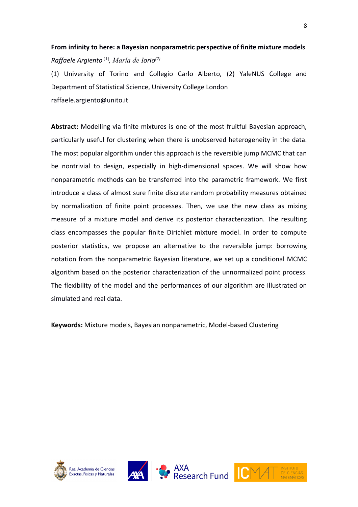## **From infinity to here: a Bayesian nonparametric perspective of finite mixture models** *Raffaele Argiento* (1)*, María de Iorio(2)*

(1) University of Torino and Collegio Carlo Alberto, (2) YaleNUS College and Department of Statistical Science, University College London raffaele.argiento@unito.it

**Abstract:** Modelling via finite mixtures is one of the most fruitful Bayesian approach, particularly useful for clustering when there is unobserved heterogeneity in the data. The most popular algorithm under this approach is the reversible jump MCMC that can be nontrivial to design, especially in high-dimensional spaces. We will show how nonparametric methods can be transferred into the parametric framework. We first introduce a class of almost sure finite discrete random probability measures obtained by normalization of finite point processes. Then, we use the new class as mixing measure of a mixture model and derive its posterior characterization. The resulting class encompasses the popular finite Dirichlet mixture model. In order to compute posterior statistics, we propose an alternative to the reversible jump: borrowing notation from the nonparametric Bayesian literature, we set up a conditional MCMC algorithm based on the posterior characterization of the unnormalized point process. The flexibility of the model and the performances of our algorithm are illustrated on simulated and real data.

**Keywords:** Mixture models, Bayesian nonparametric, Model-based Clustering







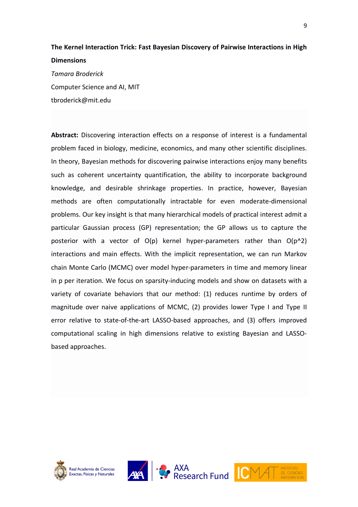## **The Kernel Interaction Trick: Fast Bayesian Discovery of Pairwise Interactions in High Dimensions**

*Tamara Broderick*  Computer Science and AI, MIT tbroderick@mit.edu

**Abstract:** Discovering interaction effects on a response of interest is a fundamental problem faced in biology, medicine, economics, and many other scientific disciplines. In theory, Bayesian methods for discovering pairwise interactions enjoy many benefits such as coherent uncertainty quantification, the ability to incorporate background knowledge, and desirable shrinkage properties. In practice, however, Bayesian methods are often computationally intractable for even moderate-dimensional problems. Our key insight is that many hierarchical models of practical interest admit a particular Gaussian process (GP) representation; the GP allows us to capture the posterior with a vector of  $O(p)$  kernel hyper-parameters rather than  $O(p^2)$ interactions and main effects. With the implicit representation, we can run Markov chain Monte Carlo (MCMC) over model hyper-parameters in time and memory linear in p per iteration. We focus on sparsity-inducing models and show on datasets with a variety of covariate behaviors that our method: (1) reduces runtime by orders of magnitude over naive applications of MCMC, (2) provides lower Type I and Type II error relative to state-of-the-art LASSO-based approaches, and (3) offers improved computational scaling in high dimensions relative to existing Bayesian and LASSObased approaches.





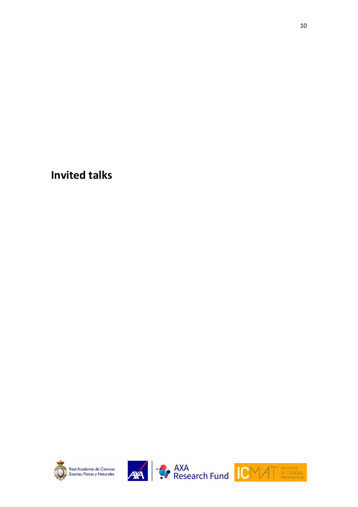**Invited talks**







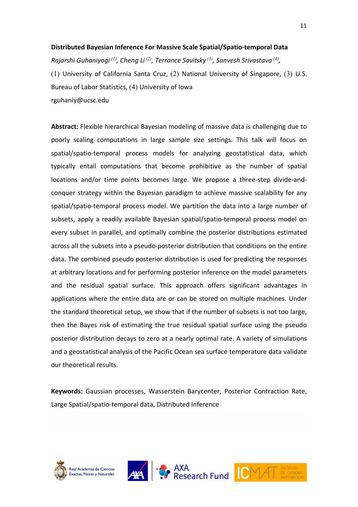#### **Distributed Bayesian Inference For Massive Scale Spatial/Spatio-temporal Data**

*Rajarshi Guhaniyogi (1), Cheng Li (2), Terrance Savitsky (3), Sanvesh Srivastava (4),* (1) University of California Santa Cruz, (2) National University of Singapore, (3) U.S. Bureau of Labor Statistics, (4) University of Iowa rguhaniy@ucsc.edu

**Abstract:** Flexible hierarchical Bayesian modeling of massive data is challenging due to poorly scaling computations in large sample size settings. This talk will focus on spatial/spatio-temporal process models for analyzing geostatistical data, which typically entail computations that become prohibitive as the number of spatial locations and/or time points becomes large. We propose a three-step divide-andconquer strategy within the Bayesian paradigm to achieve massive scalability for any spatial/spatio-temporal process model. We partition the data into a large number of subsets, apply a readily available Bayesian spatial/spatio-temporal process model on every subset in parallel, and optimally combine the posterior distributions estimated across all the subsets into a pseudo-posterior distribution that conditions on the entire data. The combined pseudo posterior distribution is used for predicting the responses at arbitrary locations and for performing posterior inference on the model parameters and the residual spatial surface. This approach offers significant advantages in applications where the entire data are or can be stored on multiple machines. Under the standard theoretical setup, we show that if the number of subsets is not too large, then the Bayes risk of estimating the true residual spatial surface using the pseudo posterior distribution decays to zero at a nearly optimal rate. A variety of simulations and a geostatistical analysis of the Pacific Ocean sea surface temperature data validate our theoretical results.

**Keywords:** Gaussian processes, Wasserstein Barycenter, Posterior Contraction Rate, Large Spatial/spatio-temporal data, Distributed Inference







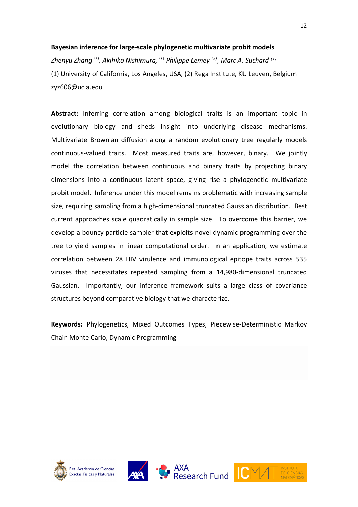#### **Bayesian inference for large-scale phylogenetic multivariate probit models**

*Zhenyu Zhang (1), Akihiko Nishimura, (1) Philippe Lemey (2) , Marc A. Suchard (1)* (1) University of California, Los Angeles, USA, (2) Rega Institute, KU Leuven, Belgium zyz606@ucla.edu

**Abstract:** Inferring correlation among biological traits is an important topic in evolutionary biology and sheds insight into underlying disease mechanisms. Multivariate Brownian diffusion along a random evolutionary tree regularly models continuous-valued traits. Most measured traits are, however, binary. We jointly model the correlation between continuous and binary traits by projecting binary dimensions into a continuous latent space, giving rise a phylogenetic multivariate probit model. Inference under this model remains problematic with increasing sample size, requiring sampling from a high-dimensional truncated Gaussian distribution. Best current approaches scale quadratically in sample size. To overcome this barrier, we develop a bouncy particle sampler that exploits novel dynamic programming over the tree to yield samples in linear computational order. In an application, we estimate correlation between 28 HIV virulence and immunological epitope traits across 535 viruses that necessitates repeated sampling from a 14,980-dimensional truncated Gaussian. Importantly, our inference framework suits a large class of covariance structures beyond comparative biology that we characterize.

**Keywords:** Phylogenetics, Mixed Outcomes Types, Piecewise-Deterministic Markov Chain Monte Carlo, Dynamic Programming







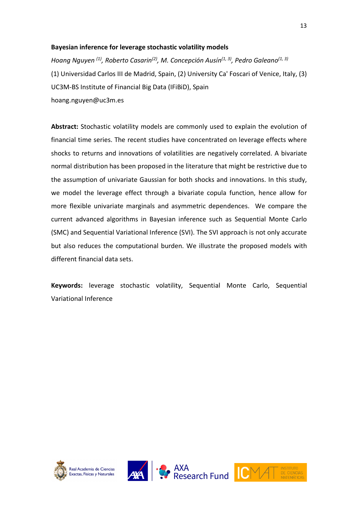#### **Bayesian inference for leverage stochastic volatility models**

*Hoang Nguyen (1) , Roberto Casarin(2) , M. Concepción Ausín(1, 3) , Pedro Galeano(1, 3)* (1) Universidad Carlos III de Madrid, Spain, (2) University Ca' Foscari of Venice, Italy, (3) UC3M-BS Institute of Financial Big Data (IFiBiD), Spain hoang.nguyen@uc3m.es

**Abstract:** Stochastic volatility models are commonly used to explain the evolution of financial time series. The recent studies have concentrated on leverage effects where shocks to returns and innovations of volatilities are negatively correlated. A bivariate normal distribution has been proposed in the literature that might be restrictive due to the assumption of univariate Gaussian for both shocks and innovations. In this study, we model the leverage effect through a bivariate copula function, hence allow for more flexible univariate marginals and asymmetric dependences. We compare the current advanced algorithms in Bayesian inference such as Sequential Monte Carlo (SMC) and Sequential Variational Inference (SVI). The SVI approach is not only accurate but also reduces the computational burden. We illustrate the proposed models with different financial data sets.

**Keywords:** leverage stochastic volatility, Sequential Monte Carlo, Sequential Variational Inference







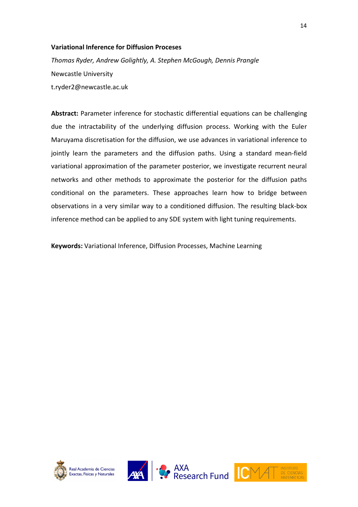#### **Variational Inference for Diffusion Proceses**

*Thomas Ryder, Andrew Golightly, A. Stephen McGough, Dennis Prangle*  Newcastle University t.ryder2@newcastle.ac.uk

**Abstract:** Parameter inference for stochastic differential equations can be challenging due the intractability of the underlying diffusion process. Working with the Euler Maruyama discretisation for the diffusion, we use advances in variational inference to jointly learn the parameters and the diffusion paths. Using a standard mean-field variational approximation of the parameter posterior, we investigate recurrent neural networks and other methods to approximate the posterior for the diffusion paths conditional on the parameters. These approaches learn how to bridge between observations in a very similar way to a conditioned diffusion. The resulting black-box inference method can be applied to any SDE system with light tuning requirements.

**Keywords:** Variational Inference, Diffusion Processes, Machine Learning







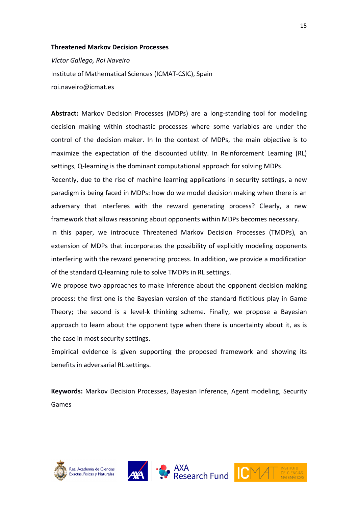#### **Threatened Markov Decision Processes**

*Víctor Gallego, Roi Naveiro* Institute of Mathematical Sciences (ICMAT-CSIC), Spain roi.naveiro@icmat.es

**Abstract:** Markov Decision Processes (MDPs) are a long-standing tool for modeling decision making within stochastic processes where some variables are under the control of the decision maker. In In the context of MDPs, the main objective is to maximize the expectation of the discounted utility. In Reinforcement Learning (RL) settings, Q-learning is the dominant computational approach for solving MDPs.

Recently, due to the rise of machine learning applications in security settings, a new paradigm is being faced in MDPs: how do we model decision making when there is an adversary that interferes with the reward generating process? Clearly, a new framework that allows reasoning about opponents within MDPs becomes necessary.

In this paper, we introduce Threatened Markov Decision Processes (TMDPs), an extension of MDPs that incorporates the possibility of explicitly modeling opponents interfering with the reward generating process. In addition, we provide a modification of the standard Q-learning rule to solve TMDPs in RL settings.

We propose two approaches to make inference about the opponent decision making process: the first one is the Bayesian version of the standard fictitious play in Game Theory; the second is a level-k thinking scheme. Finally, we propose a Bayesian approach to learn about the opponent type when there is uncertainty about it, as is the case in most security settings.

Empirical evidence is given supporting the proposed framework and showing its benefits in adversarial RL settings.

**Keywords:** Markov Decision Processes, Bayesian Inference, Agent modeling, Security Games





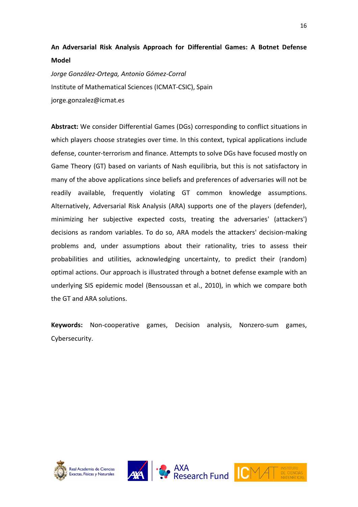### **An Adversarial Risk Analysis Approach for Differential Games: A Botnet Defense Model**

*Jorge González-Ortega, Antonio Gómez-Corral* Institute of Mathematical Sciences (ICMAT-CSIC), Spain jorge.gonzalez@icmat.es

**Abstract:** We consider Differential Games (DGs) corresponding to conflict situations in which players choose strategies over time. In this context, typical applications include defense, counter-terrorism and finance. Attempts to solve DGs have focused mostly on Game Theory (GT) based on variants of Nash equilibria, but this is not satisfactory in many of the above applications since beliefs and preferences of adversaries will not be readily available, frequently violating GT common knowledge assumptions. Alternatively, Adversarial Risk Analysis (ARA) supports one of the players (defender), minimizing her subjective expected costs, treating the adversaries' (attackers') decisions as random variables. To do so, ARA models the attackers' decision-making problems and, under assumptions about their rationality, tries to assess their probabilities and utilities, acknowledging uncertainty, to predict their (random) optimal actions. Our approach is illustrated through a botnet defense example with an underlying SIS epidemic model (Bensoussan et al., 2010), in which we compare both the GT and ARA solutions.

**Keywords:** Non-cooperative games, Decision analysis, Nonzero-sum games, Cybersecurity.







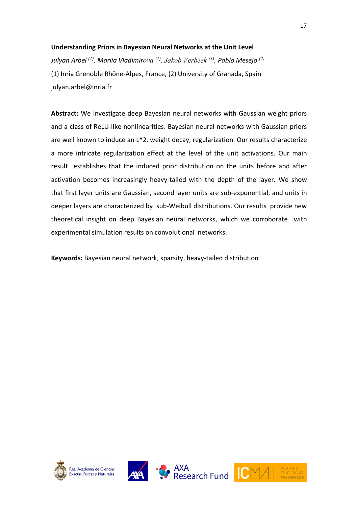#### **Understanding Priors in Bayesian Neural Networks at the Unit Level**

*Julyan Arbel (1) , Mariia Vladimirova (1) , Jakob Verbeek (1) , Pablo Mesejo (2)* (1) Inria Grenoble Rhône-Alpes, France, (2) University of Granada, Spain julyan.arbel@inria.fr

**Abstract:** We investigate deep Bayesian neural networks with Gaussian weight priors and a class of ReLU-like nonlinearities. Bayesian neural networks with Gaussian priors are well known to induce an L^2, weight decay, regularization. Our results characterize a more intricate regularization effect at the level of the unit activations. Our main result establishes that the induced prior distribution on the units before and after activation becomes increasingly heavy-tailed with the depth of the layer. We show that first layer units are Gaussian, second layer units are sub-exponential, and units in deeper layers are characterized by sub-Weibull distributions. Our results provide new theoretical insight on deep Bayesian neural networks, which we corroborate with experimental simulation results on convolutional networks.

**Keywords:** Bayesian neural network, sparsity, heavy-tailed distribution





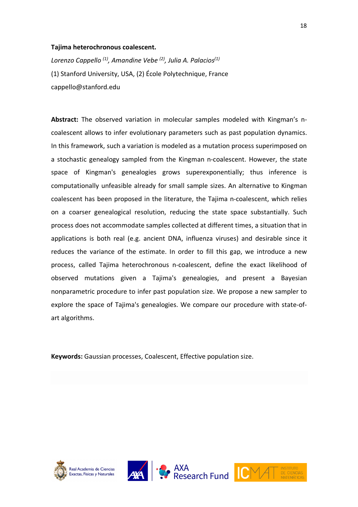#### **Tajima heterochronous coalescent.**

*Lorenzo Cappello (1) , Amandine Vebe (2), Julia A. Palacios(1)* (1) Stanford University, USA, (2) École Polytechnique, France cappello@stanford.edu

**Abstract:** The observed variation in molecular samples modeled with Kingman's ncoalescent allows to infer evolutionary parameters such as past population dynamics. In this framework, such a variation is modeled as a mutation process superimposed on a stochastic genealogy sampled from the Kingman n-coalescent. However, the state space of Kingman's genealogies grows superexponentially; thus inference is computationally unfeasible already for small sample sizes. An alternative to Kingman coalescent has been proposed in the literature, the Tajima n-coalescent, which relies on a coarser genealogical resolution, reducing the state space substantially. Such process does not accommodate samples collected at different times, a situation that in applications is both real (e.g. ancient DNA, influenza viruses) and desirable since it reduces the variance of the estimate. In order to fill this gap, we introduce a new process, called Tajima heterochronous n-coalescent, define the exact likelihood of observed mutations given a Tajima's genealogies, and present a Bayesian nonparametric procedure to infer past population size. We propose a new sampler to explore the space of Tajima's genealogies. We compare our procedure with state-ofart algorithms.

**Keywords:** Gaussian processes, Coalescent, Effective population size.







**AXA**<br>Research Fund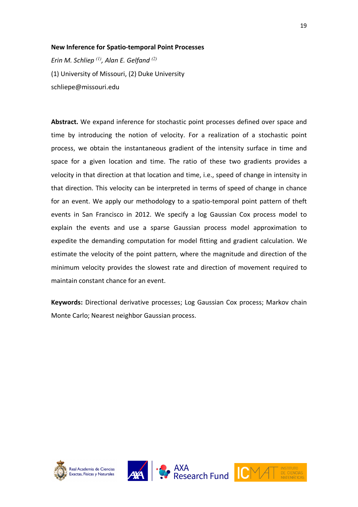#### **New Inference for Spatio-temporal Point Processes**

*Erin M. Schliep (1), Alan E. Gelfand (2)* (1) University of Missouri, (2) Duke University schliepe@missouri.edu

**Abstract.** We expand inference for stochastic point processes defined over space and time by introducing the notion of velocity. For a realization of a stochastic point process, we obtain the instantaneous gradient of the intensity surface in time and space for a given location and time. The ratio of these two gradients provides a velocity in that direction at that location and time, i.e., speed of change in intensity in that direction. This velocity can be interpreted in terms of speed of change in chance for an event. We apply our methodology to a spatio-temporal point pattern of theft events in San Francisco in 2012. We specify a log Gaussian Cox process model to explain the events and use a sparse Gaussian process model approximation to expedite the demanding computation for model fitting and gradient calculation. We estimate the velocity of the point pattern, where the magnitude and direction of the minimum velocity provides the slowest rate and direction of movement required to maintain constant chance for an event.

**Keywords:** Directional derivative processes; Log Gaussian Cox process; Markov chain Monte Carlo; Nearest neighbor Gaussian process.







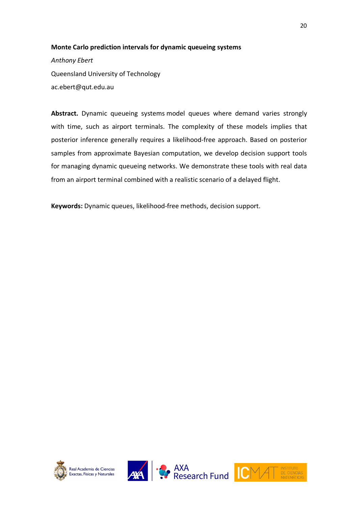#### **Monte Carlo prediction intervals for dynamic queueing systems**

*Anthony Ebert* Queensland University of Technology ac.ebert@qut.edu.au

**Abstract.** Dynamic queueing systems model queues where demand varies strongly with time, such as airport terminals. The complexity of these models implies that posterior inference generally requires a likelihood-free approach. Based on posterior samples from approximate Bayesian computation, we develop decision support tools for managing dynamic queueing networks. We demonstrate these tools with real data from an airport terminal combined with a realistic scenario of a delayed flight.

**Keywords:** Dynamic queues, likelihood-free methods, decision support.







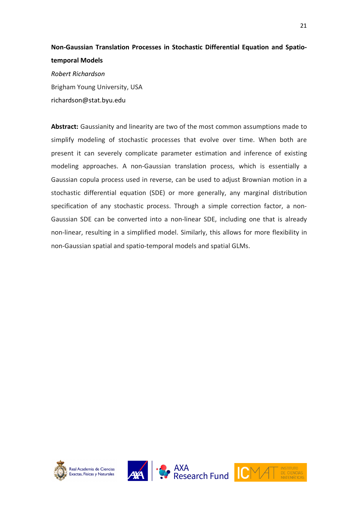## **Non-Gaussian Translation Processes in Stochastic Differential Equation and Spatiotemporal Models**

*Robert Richardson* Brigham Young University, USA richardson@stat.byu.edu

**Abstract:** Gaussianity and linearity are two of the most common assumptions made to simplify modeling of stochastic processes that evolve over time. When both are present it can severely complicate parameter estimation and inference of existing modeling approaches. A non-Gaussian translation process, which is essentially a Gaussian copula process used in reverse, can be used to adjust Brownian motion in a stochastic differential equation (SDE) or more generally, any marginal distribution specification of any stochastic process. Through a simple correction factor, a non-Gaussian SDE can be converted into a non-linear SDE, including one that is already non-linear, resulting in a simplified model. Similarly, this allows for more flexibility in non-Gaussian spatial and spatio-temporal models and spatial GLMs.







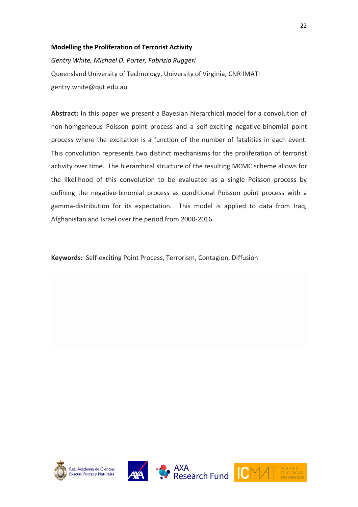#### **Modelling the Proliferation of Terrorist Activity**

*Gentry White, Michael D. Porter, Fabrizio Ruggeri* Queensland University of Technology, University of Virginia, CNR IMATI gentry.white@qut.edu.au

**Abstract:** In this paper we present a Bayesian hierarchical model for a convolution of non-homgeneous Poisson point process and a self-exciting negative-binomial point process where the excitation is a function of the number of fatalities in each event. This convolution represents two distinct mechanisms for the proliferation of terrorist activity over time. The hierarchical structure of the resulting MCMC scheme allows for the likelihood of this convolution to be evaluated as a single Poisson process by defining the negative-binomial process as conditional Poisson point process with a gamma-distribution for its expectation. This model is applied to data from Iraq, Afghanistan and Israel over the period from 2000-2016.

**Keywords:** Self-exciting Point Process, Terrorism, Contagion, Diffusion





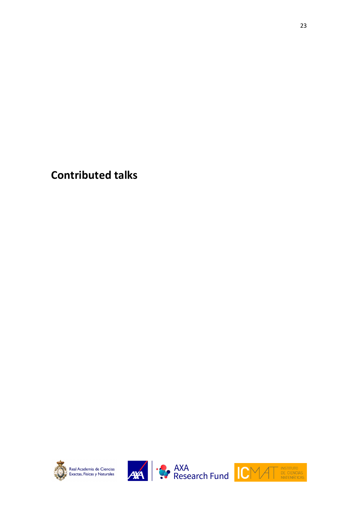**Contributed talks**







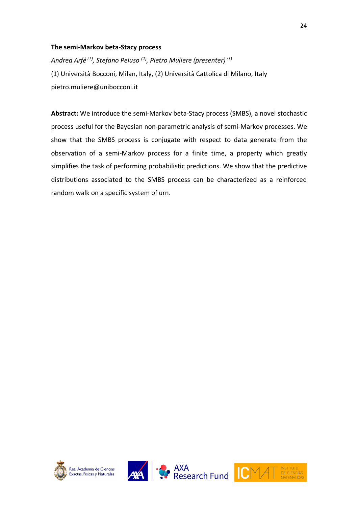#### **The semi-Markov beta-Stacy process**

*Andrea Arfé (1) , Stefano Peluso (2) , Pietro Muliere (presenter) (1)* (1) Università Bocconi, Milan, Italy, (2) Università Cattolica di Milano, Italy pietro.muliere@unibocconi.it

**Abstract:** We introduce the semi-Markov beta-Stacy process (SMBS), a novel stochastic process useful for the Bayesian non-parametric analysis of semi-Markov processes. We show that the SMBS process is conjugate with respect to data generate from the observation of a semi-Markov process for a finite time, a property which greatly simplifies the task of performing probabilistic predictions. We show that the predictive distributions associated to the SMBS process can be characterized as a reinforced random walk on a specific system of urn.







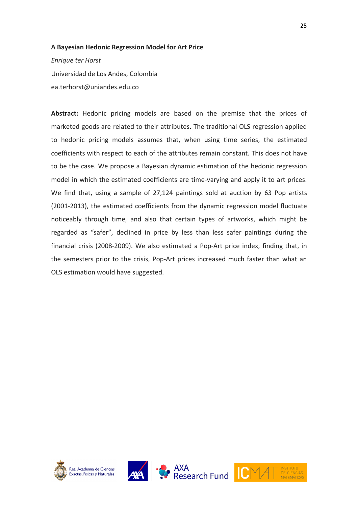#### **A Bayesian Hedonic Regression Model for Art Price**

*Enrique ter Horst* Universidad de Los Andes, Colombia ea.terhorst@uniandes.edu.co

**Abstract:** Hedonic pricing models are based on the premise that the prices of marketed goods are related to their attributes. The traditional OLS regression applied to hedonic pricing models assumes that, when using time series, the estimated coefficients with respect to each of the attributes remain constant. This does not have to be the case. We propose a Bayesian dynamic estimation of the hedonic regression model in which the estimated coefficients are time-varying and apply it to art prices. We find that, using a sample of 27,124 paintings sold at auction by 63 Pop artists (2001-2013), the estimated coefficients from the dynamic regression model fluctuate noticeably through time, and also that certain types of artworks, which might be regarded as "safer", declined in price by less than less safer paintings during the financial crisis (2008-2009). We also estimated a Pop-Art price index, finding that, in the semesters prior to the crisis, Pop-Art prices increased much faster than what an OLS estimation would have suggested.







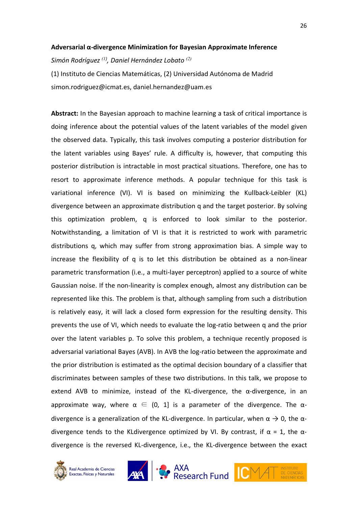#### **Adversarial α-divergence Minimization for Bayesian Approximate Inference**

*Simón Rodríguez (1) , Daniel Hernández Lobato (2)*

(1) Instituto de Ciencias Matemáticas, (2) Universidad Autónoma de Madrid simon.rodriguez@icmat.es, daniel.hernandez@uam.es

**Abstract:** In the Bayesian approach to machine learning a task of critical importance is doing inference about the potential values of the latent variables of the model given the observed data. Typically, this task involves computing a posterior distribution for the latent variables using Bayes' rule. A difficulty is, however, that computing this posterior distribution is intractable in most practical situations. Therefore, one has to resort to approximate inference methods. A popular technique for this task is variational inference (VI). VI is based on minimizing the Kullback-Leibler (KL) divergence between an approximate distribution q and the target posterior. By solving this optimization problem, q is enforced to look similar to the posterior. Notwithstanding, a limitation of VI is that it is restricted to work with parametric distributions q, which may suffer from strong approximation bias. A simple way to increase the flexibility of q is to let this distribution be obtained as a non-linear parametric transformation (i.e., a multi-layer perceptron) applied to a source of white Gaussian noise. If the non-linearity is complex enough, almost any distribution can be represented like this. The problem is that, although sampling from such a distribution is relatively easy, it will lack a closed form expression for the resulting density. This prevents the use of VI, which needs to evaluate the log-ratio between q and the prior over the latent variables p. To solve this problem, a technique recently proposed is adversarial variational Bayes (AVB). In AVB the log-ratio between the approximate and the prior distribution is estimated as the optimal decision boundary of a classifier that discriminates between samples of these two distributions. In this talk, we propose to extend AVB to minimize, instead of the KL-divergence, the  $\alpha$ -divergence, in an approximate way, where  $\alpha \in (0, 1]$  is a parameter of the divergence. The  $\alpha$ divergence is a generalization of the KL-divergence. In particular, when  $\alpha \rightarrow 0$ , the  $\alpha$ divergence tends to the KLdivergence optimized by VI. By contrast, if  $\alpha = 1$ , the  $\alpha$ divergence is the reversed KL-divergence, i.e., the KL-divergence between the exact





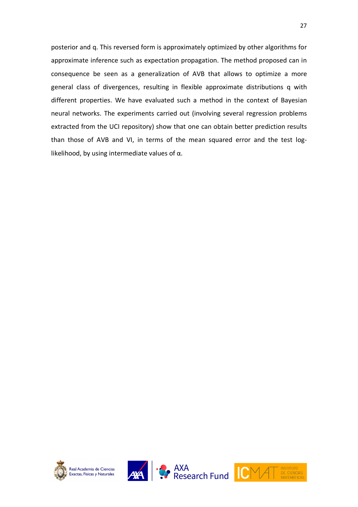posterior and q. This reversed form is approximately optimized by other algorithms for approximate inference such as expectation propagation. The method proposed can in consequence be seen as a generalization of AVB that allows to optimize a more general class of divergences, resulting in flexible approximate distributions q with different properties. We have evaluated such a method in the context of Bayesian neural networks. The experiments carried out (involving several regression problems extracted from the UCI repository) show that one can obtain better prediction results than those of AVB and VI, in terms of the mean squared error and the test loglikelihood, by using intermediate values of  $\alpha$ .







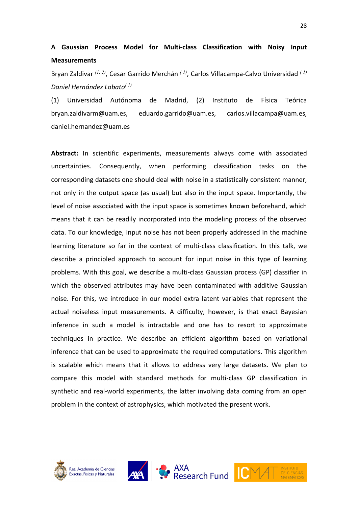## **A Gaussian Process Model for Multi-class Classification with Noisy Input Measurements**

Bryan Zaldivar *(1, 2)* , Cesar Garrido Merchán *( 1)*, Carlos Villacampa-Calvo Universidad *( 1) Daniel Hernández Lobato( 1)*

(1) Universidad Autónoma de Madrid, (2) Instituto de Física Teórica bryan.zaldivarm@uam.es, eduardo.garrido@uam.es, carlos.villacampa@uam.es, daniel.hernandez@uam.es

**Abstract:** In scientific experiments, measurements always come with associated uncertainties. Consequently, when performing classification tasks on the corresponding datasets one should deal with noise in a statistically consistent manner, not only in the output space (as usual) but also in the input space. Importantly, the level of noise associated with the input space is sometimes known beforehand, which means that it can be readily incorporated into the modeling process of the observed data. To our knowledge, input noise has not been properly addressed in the machine learning literature so far in the context of multi-class classification. In this talk, we describe a principled approach to account for input noise in this type of learning problems. With this goal, we describe a multi-class Gaussian process (GP) classifier in which the observed attributes may have been contaminated with additive Gaussian noise. For this, we introduce in our model extra latent variables that represent the actual noiseless input measurements. A difficulty, however, is that exact Bayesian inference in such a model is intractable and one has to resort to approximate techniques in practice. We describe an efficient algorithm based on variational inference that can be used to approximate the required computations. This algorithm is scalable which means that it allows to address very large datasets. We plan to compare this model with standard methods for multi-class GP classification in synthetic and real-world experiments, the latter involving data coming from an open problem in the context of astrophysics, which motivated the present work.





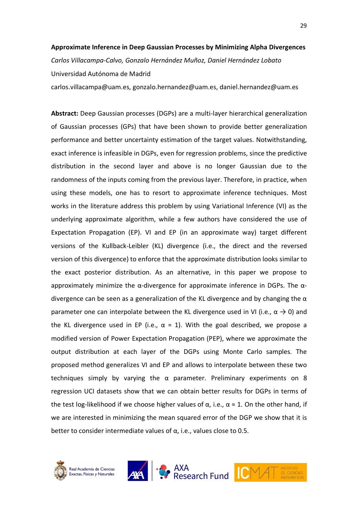#### **Approximate Inference in Deep Gaussian Processes by Minimizing Alpha Divergences**

*Carlos Villacampa-Calvo, Gonzalo Hernández Muñoz, Daniel Hernández Lobato* Universidad Autónoma de Madrid

carlos.villacampa@uam.es, gonzalo.hernandez@uam.es, daniel.hernandez@uam.es

**Abstract:** Deep Gaussian processes (DGPs) are a multi-layer hierarchical generalization of Gaussian processes (GPs) that have been shown to provide better generalization performance and better uncertainty estimation of the target values. Notwithstanding, exact inference is infeasible in DGPs, even for regression problems, since the predictive distribution in the second layer and above is no longer Gaussian due to the randomness of the inputs coming from the previous layer. Therefore, in practice, when using these models, one has to resort to approximate inference techniques. Most works in the literature address this problem by using Variational Inference (VI) as the underlying approximate algorithm, while a few authors have considered the use of Expectation Propagation (EP). VI and EP (in an approximate way) target different versions of the Kullback-Leibler (KL) divergence (i.e., the direct and the reversed version of this divergence) to enforce that the approximate distribution looks similar to the exact posterior distribution. As an alternative, in this paper we propose to approximately minimize the  $\alpha$ -divergence for approximate inference in DGPs. The  $\alpha$ divergence can be seen as a generalization of the KL divergence and by changing the  $\alpha$ parameter one can interpolate between the KL divergence used in VI (i.e.,  $\alpha \rightarrow 0$ ) and the KL divergence used in EP (i.e.,  $\alpha = 1$ ). With the goal described, we propose a modified version of Power Expectation Propagation (PEP), where we approximate the output distribution at each layer of the DGPs using Monte Carlo samples. The proposed method generalizes VI and EP and allows to interpolate between these two techniques simply by varying the α parameter. Preliminary experiments on 8 regression UCI datasets show that we can obtain better results for DGPs in terms of the test log-likelihood if we choose higher values of  $\alpha$ , i.e.,  $\alpha \approx 1$ . On the other hand, if we are interested in minimizing the mean squared error of the DGP we show that it is better to consider intermediate values of  $\alpha$ , i.e., values close to 0.5.





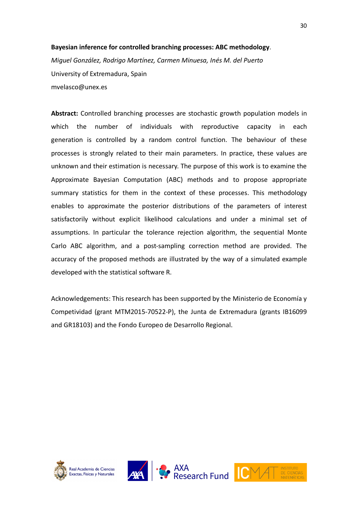#### **Bayesian inference for controlled branching processes: ABC methodology**.

*Miguel González, Rodrigo Martínez, Carmen Minuesa, Inés M. del Puerto* University of Extremadura, Spain mvelasco@unex.es

**Abstract:** Controlled branching processes are stochastic growth population models in which the number of individuals with reproductive capacity in each generation is controlled by a random control function. The behaviour of these processes is strongly related to their main parameters. In practice, these values are unknown and their estimation is necessary. The purpose of this work is to examine the Approximate Bayesian Computation (ABC) methods and to propose appropriate summary statistics for them in the context of these processes. This methodology enables to approximate the posterior distributions of the parameters of interest satisfactorily without explicit likelihood calculations and under a minimal set of assumptions. In particular the tolerance rejection algorithm, the sequential Monte Carlo ABC algorithm, and a post-sampling correction method are provided. The accuracy of the proposed methods are illustrated by the way of a simulated example developed with the statistical software R.

Acknowledgements: This research has been supported by the Ministerio de Economía y Competividad (grant MTM2015-70522-P), the Junta de Extremadura (grants IB16099 and GR18103) and the Fondo Europeo de Desarrollo Regional.







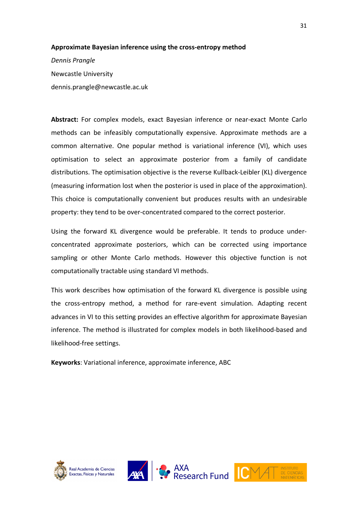#### **Approximate Bayesian inference using the cross-entropy method**

*Dennis Prangle* Newcastle University dennis.prangle@newcastle.ac.uk

**Abstract:** For complex models, exact Bayesian inference or near-exact Monte Carlo methods can be infeasibly computationally expensive. Approximate methods are a common alternative. One popular method is variational inference (VI), which uses optimisation to select an approximate posterior from a family of candidate distributions. The optimisation objective is the reverse Kullback-Leibler (KL) divergence (measuring information lost when the posterior is used in place of the approximation). This choice is computationally convenient but produces results with an undesirable property: they tend to be over-concentrated compared to the correct posterior.

Using the forward KL divergence would be preferable. It tends to produce underconcentrated approximate posteriors, which can be corrected using importance sampling or other Monte Carlo methods. However this objective function is not computationally tractable using standard VI methods.

This work describes how optimisation of the forward KL divergence is possible using the cross-entropy method, a method for rare-event simulation. Adapting recent advances in VI to this setting provides an effective algorithm for approximate Bayesian inference. The method is illustrated for complex models in both likelihood-based and likelihood-free settings.

**Keyworks**: Variational inference, approximate inference, ABC







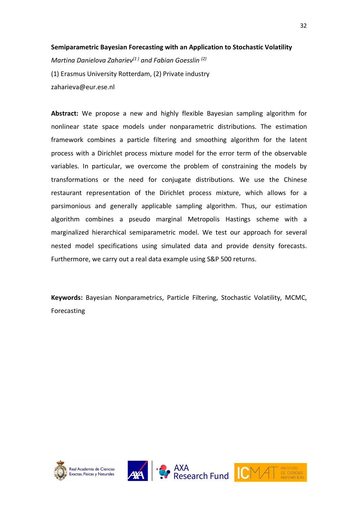#### **Semiparametric Bayesian Forecasting with an Application to Stochastic Volatility**

*Martina Danielova Zahariev(1 ) and Fabian Goesslin (2)* (1) Erasmus University Rotterdam, (2) Private industry zaharieva@eur.ese.nl

**Abstract:** We propose a new and highly flexible Bayesian sampling algorithm for nonlinear state space models under nonparametric distributions. The estimation framework combines a particle filtering and smoothing algorithm for the latent process with a Dirichlet process mixture model for the error term of the observable variables. In particular, we overcome the problem of constraining the models by transformations or the need for conjugate distributions. We use the Chinese restaurant representation of the Dirichlet process mixture, which allows for a parsimonious and generally applicable sampling algorithm. Thus, our estimation algorithm combines a pseudo marginal Metropolis Hastings scheme with a marginalized hierarchical semiparametric model. We test our approach for several nested model specifications using simulated data and provide density forecasts. Furthermore, we carry out a real data example using S&P 500 returns.

**Keywords:** Bayesian Nonparametrics, Particle Filtering, Stochastic Volatility, MCMC, Forecasting







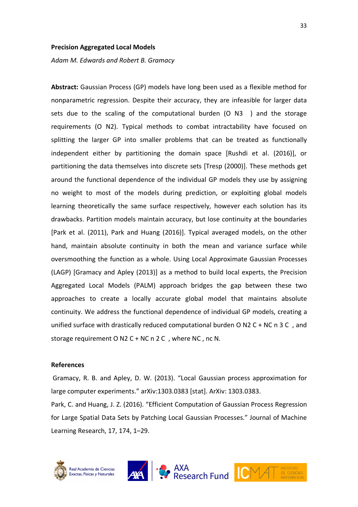#### **Precision Aggregated Local Models**

*Adam M. Edwards and Robert B. Gramacy* 

**Abstract:** Gaussian Process (GP) models have long been used as a flexible method for nonparametric regression. Despite their accuracy, they are infeasible for larger data sets due to the scaling of the computational burden (O N3 ) and the storage requirements (O N2). Typical methods to combat intractability have focused on splitting the larger GP into smaller problems that can be treated as functionally independent either by partitioning the domain space [Rushdi et al. (2016)], or partitioning the data themselves into discrete sets [Tresp (2000)]. These methods get around the functional dependence of the individual GP models they use by assigning no weight to most of the models during prediction, or exploiting global models learning theoretically the same surface respectively, however each solution has its drawbacks. Partition models maintain accuracy, but lose continuity at the boundaries [Park et al. (2011), Park and Huang (2016)]. Typical averaged models, on the other hand, maintain absolute continuity in both the mean and variance surface while oversmoothing the function as a whole. Using Local Approximate Gaussian Processes (LAGP) [Gramacy and Apley (2013)] as a method to build local experts, the Precision Aggregated Local Models (PALM) approach bridges the gap between these two approaches to create a locally accurate global model that maintains absolute continuity. We address the functional dependence of individual GP models, creating a unified surface with drastically reduced computational burden O N2 C + NC n 3 C , and storage requirement O N2 C + NC n 2 C , where NC , nc N.

#### **References**

Gramacy, R. B. and Apley, D. W. (2013). "Local Gaussian process approximation for large computer experiments." arXiv:1303.0383 [stat]. ArXiv: 1303.0383.

Park, C. and Huang, J. Z. (2016). "Efficient Computation of Gaussian Process Regression for Large Spatial Data Sets by Patching Local Gaussian Processes." Journal of Machine Learning Research, 17, 174, 1–29.





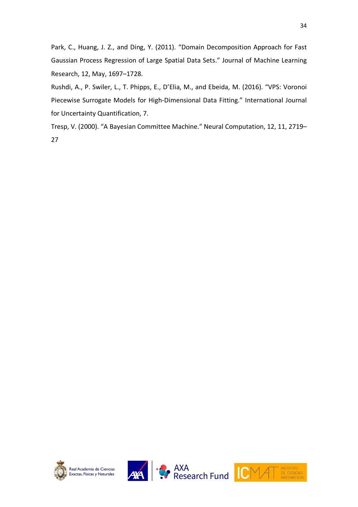Park, C., Huang, J. Z., and Ding, Y. (2011). "Domain Decomposition Approach for Fast Gaussian Process Regression of Large Spatial Data Sets." Journal of Machine Learning Research, 12, May, 1697–1728.

Rushdi, A., P. Swiler, L., T. Phipps, E., D'Elia, M., and Ebeida, M. (2016). "VPS: Voronoi Piecewise Surrogate Models for High-Dimensional Data Fitting." International Journal for Uncertainty Quantification, 7.

Tresp, V. (2000). "A Bayesian Committee Machine." Neural Computation, 12, 11, 2719– 27







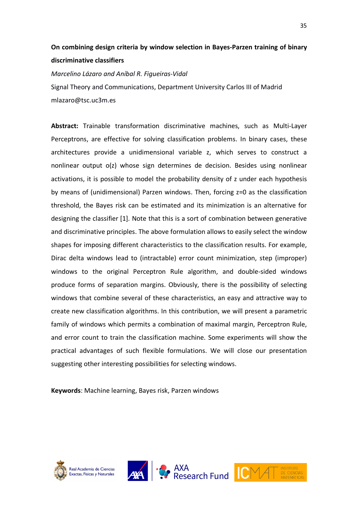## **On combining design criteria by window selection in Bayes-Parzen training of binary discriminative classifiers**

*Marcelino Lázaro and Aníbal R. Figueiras-Vidal*  Signal Theory and Communications, Department University Carlos III of Madrid mlazaro@tsc.uc3m.es

**Abstract:** Trainable transformation discriminative machines, such as Multi-Layer Perceptrons, are effective for solving classification problems. In binary cases, these architectures provide a unidimensional variable z, which serves to construct a nonlinear output o(z) whose sign determines de decision. Besides using nonlinear activations, it is possible to model the probability density of z under each hypothesis by means of (unidimensional) Parzen windows. Then, forcing z=0 as the classification threshold, the Bayes risk can be estimated and its minimization is an alternative for designing the classifier [1]. Note that this is a sort of combination between generative and discriminative principles. The above formulation allows to easily select the window shapes for imposing different characteristics to the classification results. For example, Dirac delta windows lead to (intractable) error count minimization, step (improper) windows to the original Perceptron Rule algorithm, and double-sided windows produce forms of separation margins. Obviously, there is the possibility of selecting windows that combine several of these characteristics, an easy and attractive way to create new classification algorithms. In this contribution, we will present a parametric family of windows which permits a combination of maximal margin, Perceptron Rule, and error count to train the classification machine. Some experiments will show the practical advantages of such flexible formulations. We will close our presentation suggesting other interesting possibilities for selecting windows.

**Keywords**: Machine learning, Bayes risk, Parzen windows







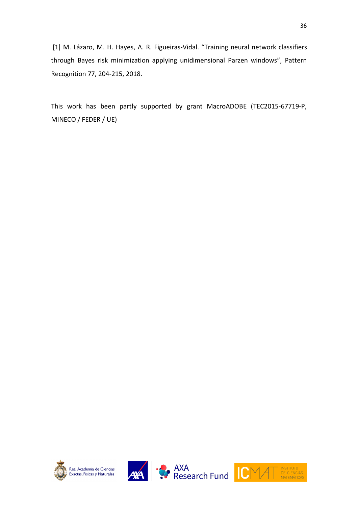[1] M. Lázaro, M. H. Hayes, A. R. Figueiras-Vidal. "Training neural network classifiers through Bayes risk minimization applying unidimensional Parzen windows", Pattern Recognition 77, 204-215, 2018.

This work has been partly supported by grant MacroADOBE (TEC2015-67719-P, MINECO / FEDER / UE)







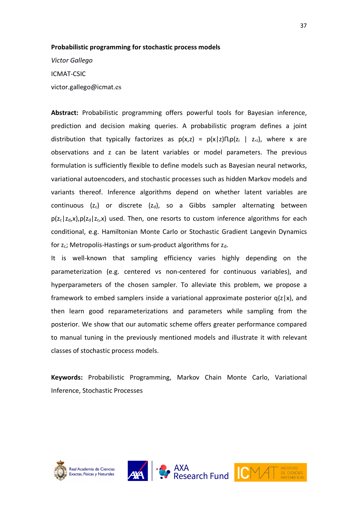#### **Probabilistic programming for stochastic process models**

*Victor Gallego* ICMAT-CSIC victor.gallego@icmat.es

**Abstract:** Probabilistic programming offers powerful tools for Bayesian inference, prediction and decision making queries. A probabilistic program defines a joint distribution that typically factorizes as  $p(x,z) = p(x|z) \prod_{i} p(z_i | z_{i})$ , where x are observations and z can be latent variables or model parameters. The previous formulation is sufficiently flexible to define models such as Bayesian neural networks, variational autoencoders, and stochastic processes such as hidden Markov models and variants thereof. Inference algorithms depend on whether latent variables are continuous ( $z_c$ ) or discrete ( $z_d$ ), so a Gibbs sampler alternating between  $p(z_c|z_d,x)$ ,  $p(z_d|z_c,x)$  used. Then, one resorts to custom inference algorithms for each conditional, e.g. Hamiltonian Monte Carlo or Stochastic Gradient Langevin Dynamics for  $z_c$ ; Metropolis-Hastings or sum-product algorithms for  $z_d$ .

It is well-known that sampling efficiency varies highly depending on the parameterization (e.g. centered vs non-centered for continuous variables), and hyperparameters of the chosen sampler. To alleviate this problem, we propose a framework to embed samplers inside a variational approximate posterior  $q(z|x)$ , and then learn good reparameterizations and parameters while sampling from the posterior. We show that our automatic scheme offers greater performance compared to manual tuning in the previously mentioned models and illustrate it with relevant classes of stochastic process models.

**Keywords:** Probabilistic Programming, Markov Chain Monte Carlo, Variational Inference, Stochastic Processes







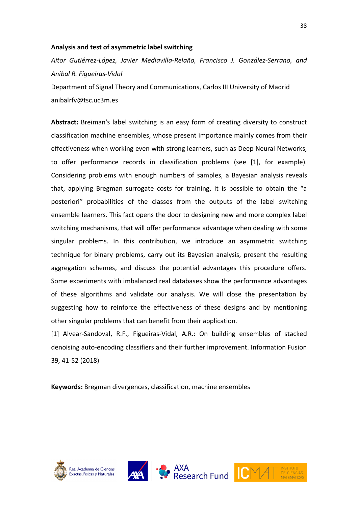#### **Analysis and test of asymmetric label switching**

*Aitor Gutiérrez-López, Javier Mediavilla-Relaño, Francisco J. González-Serrano, and Aníbal R. Figueiras-Vidal* 

Department of Signal Theory and Communications, Carlos III University of Madrid anibalrfv@tsc.uc3m.es

**Abstract:** Breiman's label switching is an easy form of creating diversity to construct classification machine ensembles, whose present importance mainly comes from their effectiveness when working even with strong learners, such as Deep Neural Networks, to offer performance records in classification problems (see [1], for example). Considering problems with enough numbers of samples, a Bayesian analysis reveals that, applying Bregman surrogate costs for training, it is possible to obtain the "a posteriori" probabilities of the classes from the outputs of the label switching ensemble learners. This fact opens the door to designing new and more complex label switching mechanisms, that will offer performance advantage when dealing with some singular problems. In this contribution, we introduce an asymmetric switching technique for binary problems, carry out its Bayesian analysis, present the resulting aggregation schemes, and discuss the potential advantages this procedure offers. Some experiments with imbalanced real databases show the performance advantages of these algorithms and validate our analysis. We will close the presentation by suggesting how to reinforce the effectiveness of these designs and by mentioning other singular problems that can benefit from their application.

[1] Alvear-Sandoval, R.F., Figueiras-Vidal, A.R.: On building ensembles of stacked denoising auto-encoding classifiers and their further improvement. Information Fusion 39, 41-52 (2018)

**Keywords:** Bregman divergences, classification, machine ensembles







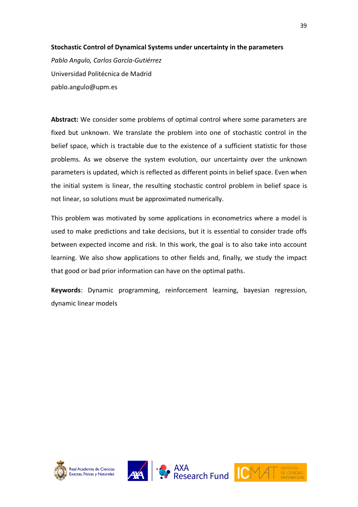#### **Stochastic Control of Dynamical Systems under uncertainty in the parameters**

*Pablo Angulo, Carlos García-Gutiérrez* Universidad Politécnica de Madrid pablo.angulo@upm.es

**Abstract:** We consider some problems of optimal control where some parameters are fixed but unknown. We translate the problem into one of stochastic control in the belief space, which is tractable due to the existence of a sufficient statistic for those problems. As we observe the system evolution, our uncertainty over the unknown parameters is updated, which is reflected as different points in belief space. Even when the initial system is linear, the resulting stochastic control problem in belief space is not linear, so solutions must be approximated numerically.

This problem was motivated by some applications in econometrics where a model is used to make predictions and take decisions, but it is essential to consider trade offs between expected income and risk. In this work, the goal is to also take into account learning. We also show applications to other fields and, finally, we study the impact that good or bad prior information can have on the optimal paths.

**Keywords**: Dynamic programming, reinforcement learning, bayesian regression, dynamic linear models







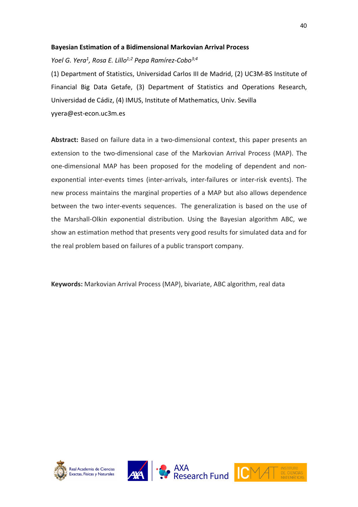#### **Bayesian Estimation of a Bidimensional Markovian Arrival Process**

*Yoel G. Yera1 , Rosa E. Lillo1;2 Pepa Ramírez-Cobo3;4*

(1) Department of Statistics, Universidad Carlos III de Madrid, (2) UC3M-BS Institute of Financial Big Data Getafe, (3) Department of Statistics and Operations Research, Universidad de Cádiz, (4) IMUS, Institute of Mathematics, Univ. Sevilla yyera@est-econ.uc3m.es

**Abstract:** Based on failure data in a two-dimensional context, this paper presents an extension to the two-dimensional case of the Markovian Arrival Process (MAP). The one-dimensional MAP has been proposed for the modeling of dependent and nonexponential inter-events times (inter-arrivals, inter-failures or inter-risk events). The new process maintains the marginal properties of a MAP but also allows dependence between the two inter-events sequences. The generalization is based on the use of the Marshall-Olkin exponential distribution. Using the Bayesian algorithm ABC, we show an estimation method that presents very good results for simulated data and for the real problem based on failures of a public transport company.

**Keywords:** Markovian Arrival Process (MAP), bivariate, ABC algorithm, real data







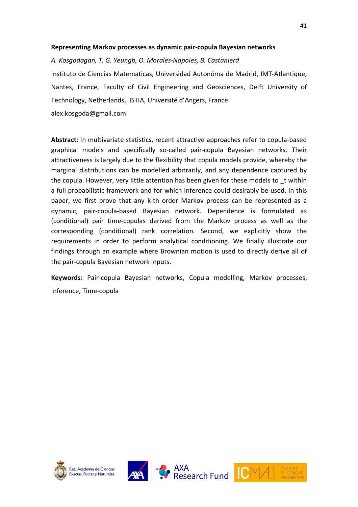#### **Representing Markov processes as dynamic pair-copula Bayesian networks**

*A. Kosgodagan, T. G. Yeungb, O. Morales-Napoles, B. Castanierd* Instituto de Ciencias Matematicas, Universidad Autonóma de Madrid, IMT-Atlantique, Nantes, France, Faculty of Civil Engineering and Geosciences, Delft University of Technology, Netherlands, ISTIA, Université d'Angers, France alex.kosgoda@gmail.com

**Abstract**: In multivariate statistics, recent attractive approaches refer to copula-based graphical models and specifically so-called pair-copula Bayesian networks. Their attractiveness is largely due to the flexibility that copula models provide, whereby the marginal distributions can be modelled arbitrarily, and any dependence captured by the copula. However, very little attention has been given for these models to \_t within a full probabilistic framework and for which inference could desirably be used. In this paper, we first prove that any k-th order Markov process can be represented as a dynamic, pair-copula-based Bayesian network. Dependence is formulated as (conditional) pair time-copulas derived from the Markov process as well as the corresponding (conditional) rank correlation. Second, we explicitly show the requirements in order to perform analytical conditioning. We finally illustrate our findings through an example where Brownian motion is used to directly derive all of the pair-copula Bayesian network inputs.

**Keywords:** Pair-copula Bayesian networks, Copula modelling, Markov processes, Inference, Time-copula







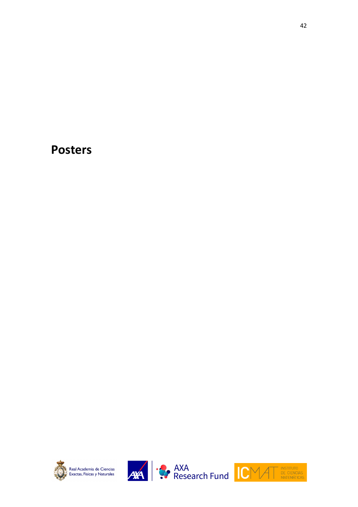## **Posters**







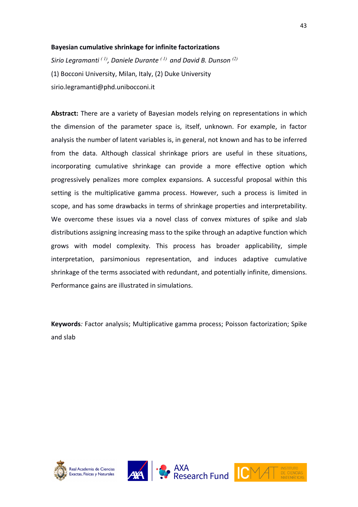#### **Bayesian cumulative shrinkage for infinite factorizations**

*Sirio Legramanti ( 1), Daniele Durante ( 1) and David B. Dunson (2)* (1) Bocconi University, Milan, Italy, (2) Duke University sirio.legramanti@phd.unibocconi.it

**Abstract:** There are a variety of Bayesian models relying on representations in which the dimension of the parameter space is, itself, unknown. For example, in factor analysis the number of latent variables is, in general, not known and has to be inferred from the data. Although classical shrinkage priors are useful in these situations, incorporating cumulative shrinkage can provide a more effective option which progressively penalizes more complex expansions. A successful proposal within this setting is the multiplicative gamma process. However, such a process is limited in scope, and has some drawbacks in terms of shrinkage properties and interpretability. We overcome these issues via a novel class of convex mixtures of spike and slab distributions assigning increasing mass to the spike through an adaptive function which grows with model complexity. This process has broader applicability, simple interpretation, parsimonious representation, and induces adaptive cumulative shrinkage of the terms associated with redundant, and potentially infinite, dimensions. Performance gains are illustrated in simulations.

**Keywords***:* Factor analysis; Multiplicative gamma process; Poisson factorization; Spike and slab







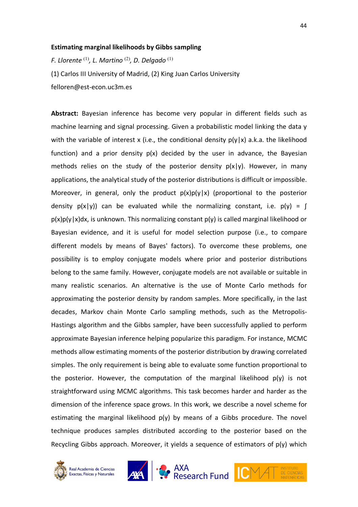#### **Estimating marginal likelihoods by Gibbs sampling**

*F. Llorente* (1)*, L. Martino* (2) *, D. Delgado* (1) (1) Carlos III University of Madrid, (2) King Juan Carlos University felloren@est-econ.uc3m.es

**Abstract:** Bayesian inference has become very popular in different fields such as machine learning and signal processing. Given a probabilistic model linking the data y with the variable of interest x (i.e., the conditional density  $p(y|x)$  a.k.a. the likelihood function) and a prior density  $p(x)$  decided by the user in advance, the Bayesian methods relies on the study of the posterior density  $p(x|y)$ . However, in many applications, the analytical study of the posterior distributions is difficult or impossible. Moreover, in general, only the product  $p(x)p(y|x)$  (proportional to the posterior density  $p(x|y)$  can be evaluated while the normalizing constant, i.e.  $p(y) = \int$  $p(x)p(y|x)dx$ , is unknown. This normalizing constant  $p(y)$  is called marginal likelihood or Bayesian evidence, and it is useful for model selection purpose (i.e., to compare different models by means of Bayes' factors). To overcome these problems, one possibility is to employ conjugate models where prior and posterior distributions belong to the same family. However, conjugate models are not available or suitable in many realistic scenarios. An alternative is the use of Monte Carlo methods for approximating the posterior density by random samples. More specifically, in the last decades, Markov chain Monte Carlo sampling methods, such as the Metropolis-Hastings algorithm and the Gibbs sampler, have been successfully applied to perform approximate Bayesian inference helping popularize this paradigm. For instance, MCMC methods allow estimating moments of the posterior distribution by drawing correlated simples. The only requirement is being able to evaluate some function proportional to the posterior. However, the computation of the marginal likelihood p(y) is not straightforward using MCMC algorithms. This task becomes harder and harder as the dimension of the inference space grows. In this work, we describe a novel scheme for estimating the marginal likelihood  $p(y)$  by means of a Gibbs procedure. The novel technique produces samples distributed according to the posterior based on the Recycling Gibbs approach. Moreover, it yields a sequence of estimators of  $p(y)$  which



Real Academia de Ciencias Exactas, Físicas y Naturales





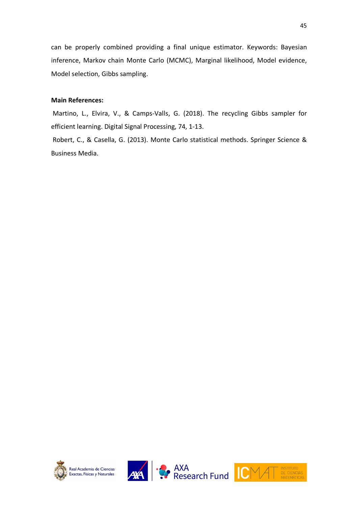can be properly combined providing a final unique estimator. Keywords: Bayesian inference, Markov chain Monte Carlo (MCMC), Marginal likelihood, Model evidence, Model selection, Gibbs sampling.

#### **Main References:**

Martino, L., Elvira, V., & Camps-Valls, G. (2018). The recycling Gibbs sampler for efficient learning. Digital Signal Processing, 74, 1-13.

Robert, C., & Casella, G. (2013). Monte Carlo statistical methods. Springer Science & Business Media.







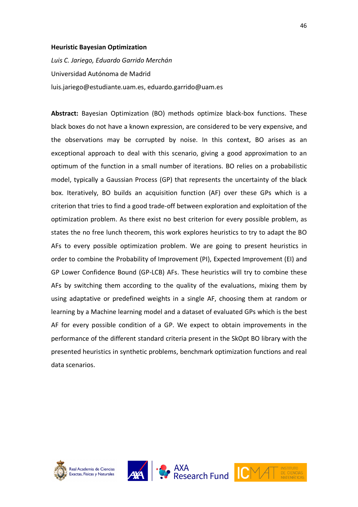#### **Heuristic Bayesian Optimization**

*Luis C. Jariego, Eduardo Garrido Merchán* Universidad Autónoma de Madrid luis.jariego@estudiante.uam.es, eduardo.garrido@uam.es

**Abstract:** Bayesian Optimization (BO) methods optimize black-box functions. These black boxes do not have a known expression, are considered to be very expensive, and the observations may be corrupted by noise. In this context, BO arises as an exceptional approach to deal with this scenario, giving a good approximation to an optimum of the function in a small number of iterations. BO relies on a probabilistic model, typically a Gaussian Process (GP) that represents the uncertainty of the black box. Iteratively, BO builds an acquisition function (AF) over these GPs which is a criterion that tries to find a good trade-off between exploration and exploitation of the optimization problem. As there exist no best criterion for every possible problem, as states the no free lunch theorem, this work explores heuristics to try to adapt the BO AFs to every possible optimization problem. We are going to present heuristics in order to combine the Probability of Improvement (PI), Expected Improvement (EI) and GP Lower Confidence Bound (GP-LCB) AFs. These heuristics will try to combine these AFs by switching them according to the quality of the evaluations, mixing them by using adaptative or predefined weights in a single AF, choosing them at random or learning by a Machine learning model and a dataset of evaluated GPs which is the best AF for every possible condition of a GP. We expect to obtain improvements in the performance of the different standard criteria present in the SkOpt BO library with the presented heuristics in synthetic problems, benchmark optimization functions and real data scenarios.





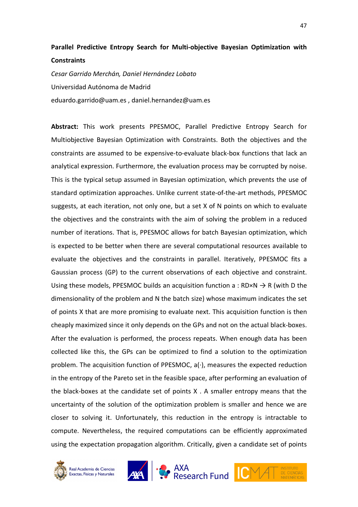## **Parallel Predictive Entropy Search for Multi-objective Bayesian Optimization with Constraints**

*Cesar Garrido Merchán, Daniel Hernández Lobato* Universidad Autónoma de Madrid eduardo.garrido@uam.es , daniel.hernandez@uam.es

**Abstract:** This work presents PPESMOC, Parallel Predictive Entropy Search for Multiobjective Bayesian Optimization with Constraints. Both the objectives and the constraints are assumed to be expensive-to-evaluate black-box functions that lack an analytical expression. Furthermore, the evaluation process may be corrupted by noise. This is the typical setup assumed in Bayesian optimization, which prevents the use of standard optimization approaches. Unlike current state-of-the-art methods, PPESMOC suggests, at each iteration, not only one, but a set X of N points on which to evaluate the objectives and the constraints with the aim of solving the problem in a reduced number of iterations. That is, PPESMOC allows for batch Bayesian optimization, which is expected to be better when there are several computational resources available to evaluate the objectives and the constraints in parallel. Iteratively, PPESMOC fits a Gaussian process (GP) to the current observations of each objective and constraint. Using these models, PPESMOC builds an acquisition function a : RD×N  $\rightarrow$  R (with D the dimensionality of the problem and N the batch size) whose maximum indicates the set of points X that are more promising to evaluate next. This acquisition function is then cheaply maximized since it only depends on the GPs and not on the actual black-boxes. After the evaluation is performed, the process repeats. When enough data has been collected like this, the GPs can be optimized to find a solution to the optimization problem. The acquisition function of PPESMOC, a(·), measures the expected reduction in the entropy of the Pareto set in the feasible space, after performing an evaluation of the black-boxes at the candidate set of points X . A smaller entropy means that the uncertainty of the solution of the optimization problem is smaller and hence we are closer to solving it. Unfortunately, this reduction in the entropy is intractable to compute. Nevertheless, the required computations can be efficiently approximated using the expectation propagation algorithm. Critically, given a candidate set of points





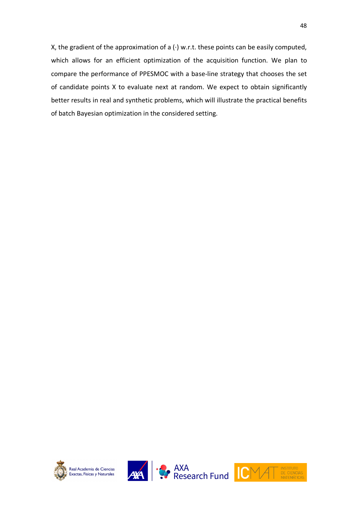X, the gradient of the approximation of a (·) w.r.t. these points can be easily computed, which allows for an efficient optimization of the acquisition function. We plan to compare the performance of PPESMOC with a base-line strategy that chooses the set of candidate points X to evaluate next at random. We expect to obtain significantly better results in real and synthetic problems, which will illustrate the practical benefits of batch Bayesian optimization in the considered setting.







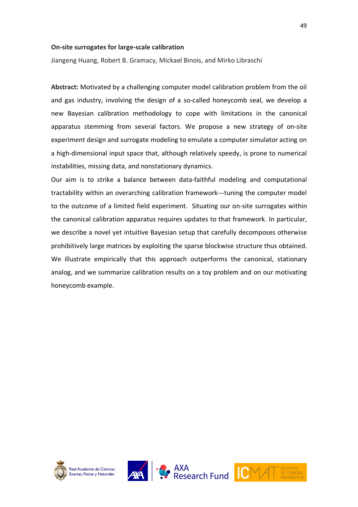#### **On-site surrogates for large-scale calibration**

Jiangeng Huang, Robert B. Gramacy, Mickael Binois, and Mirko Libraschi

**Abstract:** Motivated by a challenging computer model calibration problem from the oil and gas industry, involving the design of a so-called honeycomb seal, we develop a new Bayesian calibration methodology to cope with limitations in the canonical apparatus stemming from several factors. We propose a new strategy of on-site experiment design and surrogate modeling to emulate a computer simulator acting on a high-dimensional input space that, although relatively speedy, is prone to numerical instabilities, missing data, and nonstationary dynamics.

Our aim is to strike a balance between data-faithful modeling and computational tractability within an overarching calibration framework---tuning the computer model to the outcome of a limited field experiment. Situating our on-site surrogates within the canonical calibration apparatus requires updates to that framework. In particular, we describe a novel yet intuitive Bayesian setup that carefully decomposes otherwise prohibitively large matrices by exploiting the sparse blockwise structure thus obtained. We illustrate empirically that this approach outperforms the canonical, stationary analog, and we summarize calibration results on a toy problem and on our motivating honeycomb example.







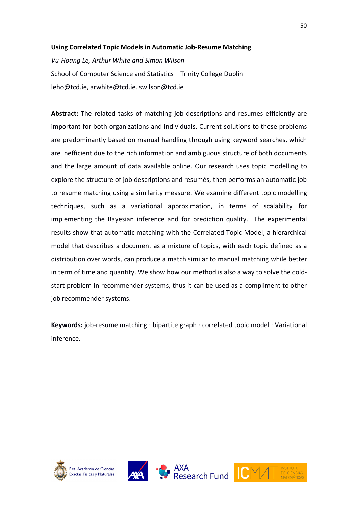#### **Using Correlated Topic Models in Automatic Job-Resume Matching**

*Vu-Hoang Le, Arthur White and Simon Wilson* School of Computer Science and Statistics – Trinity College Dublin leho@tcd.ie, arwhite@tcd.ie. swilson@tcd.ie

**Abstract:** The related tasks of matching job descriptions and resumes efficiently are important for both organizations and individuals. Current solutions to these problems are predominantly based on manual handling through using keyword searches, which are inefficient due to the rich information and ambiguous structure of both documents and the large amount of data available online. Our research uses topic modelling to explore the structure of job descriptions and resumés, then performs an automatic job to resume matching using a similarity measure. We examine different topic modelling techniques, such as a variational approximation, in terms of scalability for implementing the Bayesian inference and for prediction quality. The experimental results show that automatic matching with the Correlated Topic Model, a hierarchical model that describes a document as a mixture of topics, with each topic defined as a distribution over words, can produce a match similar to manual matching while better in term of time and quantity. We show how our method is also a way to solve the coldstart problem in recommender systems, thus it can be used as a compliment to other job recommender systems.

**Keywords:** job-resume matching · bipartite graph · correlated topic model · Variational inference.







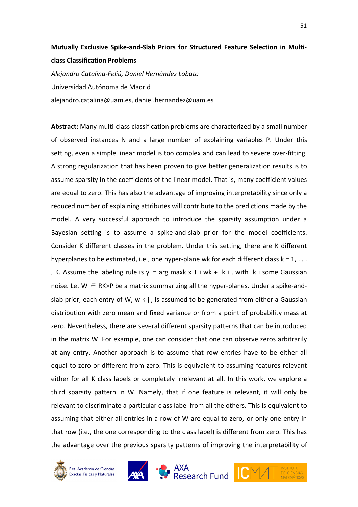## **Mutually Exclusive Spike-and-Slab Priors for Structured Feature Selection in Multiclass Classification Problems**

*Alejandro Catalina-Feliú, Daniel Hernández Lobato* Universidad Autónoma de Madrid alejandro.catalina@uam.es, daniel.hernandez@uam.es

**Abstract:** Many multi-class classification problems are characterized by a small number of observed instances N and a large number of explaining variables P. Under this setting, even a simple linear model is too complex and can lead to severe over-fitting. A strong regularization that has been proven to give better generalization results is to assume sparsity in the coefficients of the linear model. That is, many coefficient values are equal to zero. This has also the advantage of improving interpretability since only a reduced number of explaining attributes will contribute to the predictions made by the model. A very successful approach to introduce the sparsity assumption under a Bayesian setting is to assume a spike-and-slab prior for the model coefficients. Consider K different classes in the problem. Under this setting, there are K different hyperplanes to be estimated, i.e., one hyper-plane wk for each different class  $k = 1, \ldots$ , K. Assume the labeling rule is  $yi = arg$  maxk  $x \top i$  wk + k i, with k i some Gaussian noise. Let  $W \subseteq RK\times P$  be a matrix summarizing all the hyper-planes. Under a spike-andslab prior, each entry of W, w k j, is assumed to be generated from either a Gaussian distribution with zero mean and fixed variance or from a point of probability mass at zero. Nevertheless, there are several different sparsity patterns that can be introduced in the matrix W. For example, one can consider that one can observe zeros arbitrarily at any entry. Another approach is to assume that row entries have to be either all equal to zero or different from zero. This is equivalent to assuming features relevant either for all K class labels or completely irrelevant at all. In this work, we explore a third sparsity pattern in W. Namely, that if one feature is relevant, it will only be relevant to discriminate a particular class label from all the others. This is equivalent to assuming that either all entries in a row of W are equal to zero, or only one entry in that row (i.e., the one corresponding to the class label) is different from zero. This has the advantage over the previous sparsity patterns of improving the interpretability of





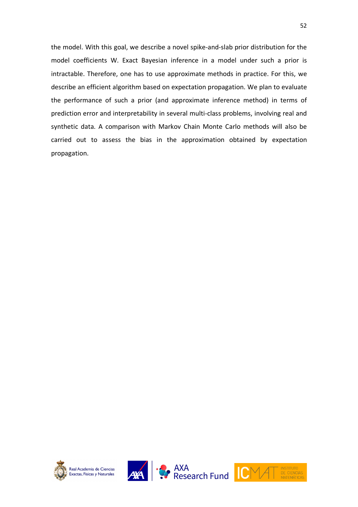the model. With this goal, we describe a novel spike-and-slab prior distribution for the model coefficients W. Exact Bayesian inference in a model under such a prior is intractable. Therefore, one has to use approximate methods in practice. For this, we describe an efficient algorithm based on expectation propagation. We plan to evaluate the performance of such a prior (and approximate inference method) in terms of prediction error and interpretability in several multi-class problems, involving real and synthetic data. A comparison with Markov Chain Monte Carlo methods will also be carried out to assess the bias in the approximation obtained by expectation propagation.







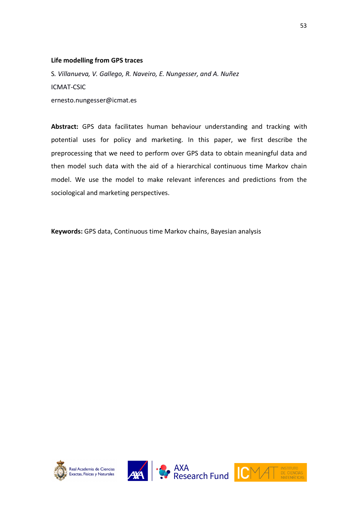#### **Life modelling from GPS traces**

S*. Villanueva, V. Gallego, R. Naveiro, E. Nungesser, and A. Nuñez*  ICMAT-CSIC ernesto.nungesser@icmat.es

**Abstract:** GPS data facilitates human behaviour understanding and tracking with potential uses for policy and marketing. In this paper, we first describe the preprocessing that we need to perform over GPS data to obtain meaningful data and then model such data with the aid of a hierarchical continuous time Markov chain model. We use the model to make relevant inferences and predictions from the sociological and marketing perspectives.

**Keywords:** GPS data, Continuous time Markov chains, Bayesian analysis







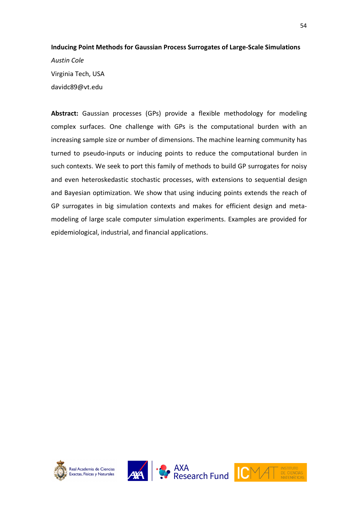## **Inducing Point Methods for Gaussian Process Surrogates of Large-Scale Simulations** *Austin Cole* Virginia Tech, USA davidc89@vt.edu

**Abstract:** Gaussian processes (GPs) provide a flexible methodology for modeling complex surfaces. One challenge with GPs is the computational burden with an increasing sample size or number of dimensions. The machine learning community has turned to pseudo-inputs or inducing points to reduce the computational burden in such contexts. We seek to port this family of methods to build GP surrogates for noisy and even heteroskedastic stochastic processes, with extensions to sequential design and Bayesian optimization. We show that using inducing points extends the reach of GP surrogates in big simulation contexts and makes for efficient design and metamodeling of large scale computer simulation experiments. Examples are provided for epidemiological, industrial, and financial applications.







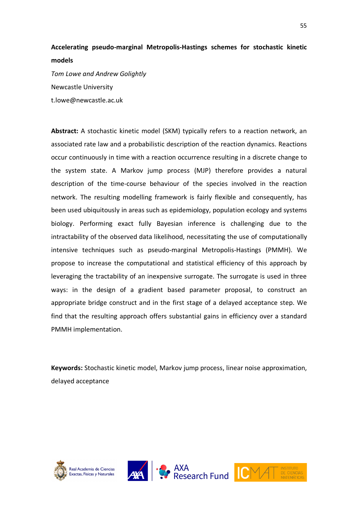## **Accelerating pseudo-marginal Metropolis-Hastings schemes for stochastic kinetic models**

*Tom Lowe and Andrew Golightly* Newcastle University t.lowe@newcastle.ac.uk

**Abstract:** A stochastic kinetic model (SKM) typically refers to a reaction network, an associated rate law and a probabilistic description of the reaction dynamics. Reactions occur continuously in time with a reaction occurrence resulting in a discrete change to the system state. A Markov jump process (MJP) therefore provides a natural description of the time-course behaviour of the species involved in the reaction network. The resulting modelling framework is fairly flexible and consequently, has been used ubiquitously in areas such as epidemiology, population ecology and systems biology. Performing exact fully Bayesian inference is challenging due to the intractability of the observed data likelihood, necessitating the use of computationally intensive techniques such as pseudo-marginal Metropolis-Hastings (PMMH). We propose to increase the computational and statistical efficiency of this approach by leveraging the tractability of an inexpensive surrogate. The surrogate is used in three ways: in the design of a gradient based parameter proposal, to construct an appropriate bridge construct and in the first stage of a delayed acceptance step. We find that the resulting approach offers substantial gains in efficiency over a standard PMMH implementation.

**Keywords:** Stochastic kinetic model, Markov jump process, linear noise approximation, delayed acceptance







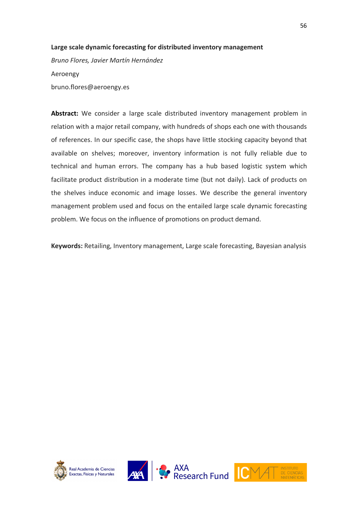#### **Large scale dynamic forecasting for distributed inventory management**

*Bruno Flores, Javier Martín Hernández* Aeroengy bruno.flores@aeroengy.es

**Abstract:** We consider a large scale distributed inventory management problem in relation with a major retail company, with hundreds of shops each one with thousands of references. In our specific case, the shops have little stocking capacity beyond that available on shelves; moreover, inventory information is not fully reliable due to technical and human errors. The company has a hub based logistic system which facilitate product distribution in a moderate time (but not daily). Lack of products on the shelves induce economic and image losses. We describe the general inventory management problem used and focus on the entailed large scale dynamic forecasting problem. We focus on the influence of promotions on product demand.

**Keywords:** Retailing, Inventory management, Large scale forecasting, Bayesian analysis







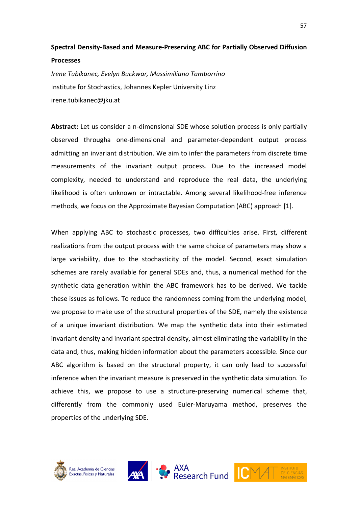## **Spectral Density-Based and Measure-Preserving ABC for Partially Observed Diffusion**

#### **Processes**

*Irene Tubikanec, Evelyn Buckwar, Massimiliano Tamborrino* Institute for Stochastics, Johannes Kepler University Linz irene.tubikanec@jku.at

**Abstract:** Let us consider a n-dimensional SDE whose solution process is only partially observed througha one-dimensional and parameter-dependent output process admitting an invariant distribution. We aim to infer the parameters from discrete time measurements of the invariant output process. Due to the increased model complexity, needed to understand and reproduce the real data, the underlying likelihood is often unknown or intractable. Among several likelihood-free inference methods, we focus on the Approximate Bayesian Computation (ABC) approach [1].

When applying ABC to stochastic processes, two difficulties arise. First, different realizations from the output process with the same choice of parameters may show a large variability, due to the stochasticity of the model. Second, exact simulation schemes are rarely available for general SDEs and, thus, a numerical method for the synthetic data generation within the ABC framework has to be derived. We tackle these issues as follows. To reduce the randomness coming from the underlying model, we propose to make use of the structural properties of the SDE, namely the existence of a unique invariant distribution. We map the synthetic data into their estimated invariant density and invariant spectral density, almost eliminating the variability in the data and, thus, making hidden information about the parameters accessible. Since our ABC algorithm is based on the structural property, it can only lead to successful inference when the invariant measure is preserved in the synthetic data simulation. To achieve this, we propose to use a structure-preserving numerical scheme that, differently from the commonly used Euler-Maruyama method, preserves the properties of the underlying SDE.







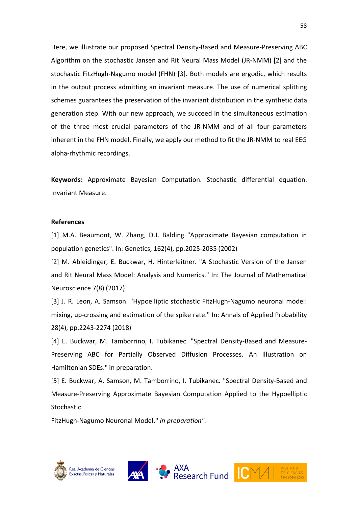Here, we illustrate our proposed Spectral Density-Based and Measure-Preserving ABC Algorithm on the stochastic Jansen and Rit Neural Mass Model (JR-NMM) [2] and the stochastic FitzHugh-Nagumo model (FHN) [3]. Both models are ergodic, which results in the output process admitting an invariant measure. The use of numerical splitting schemes guarantees the preservation of the invariant distribution in the synthetic data generation step. With our new approach, we succeed in the simultaneous estimation of the three most crucial parameters of the JR-NMM and of all four parameters inherent in the FHN model. Finally, we apply our method to fit the JR-NMM to real EEG alpha-rhythmic recordings.

**Keywords:** Approximate Bayesian Computation. Stochastic differential equation. Invariant Measure.

#### **References**

[1] M.A. Beaumont, W. Zhang, D.J. Balding "Approximate Bayesian computation in population genetics". In: Genetics, 162(4), pp.2025-2035 (2002)

[2] M. Ableidinger, E. Buckwar, H. Hinterleitner. "A Stochastic Version of the Jansen and Rit Neural Mass Model: Analysis and Numerics." In: The Journal of Mathematical Neuroscience 7(8) (2017)

[3] J. R. Leon, A. Samson. "Hypoelliptic stochastic FitzHugh-Nagumo neuronal model: mixing, up-crossing and estimation of the spike rate." In: Annals of Applied Probability 28(4), pp.2243-2274 (2018)

[4] E. Buckwar, M. Tamborrino, I. Tubikanec. "Spectral Density-Based and Measure-Preserving ABC for Partially Observed Diffusion Processes. An Illustration on Hamiltonian SDEs." in preparation.

[5] E. Buckwar, A. Samson, M. Tamborrino, I. Tubikanec. "Spectral Density-Based and Measure-Preserving Approximate Bayesian Computation Applied to the Hypoelliptic **Stochastic** 

FitzHugh-Nagumo Neuronal Model." *in preparation".*







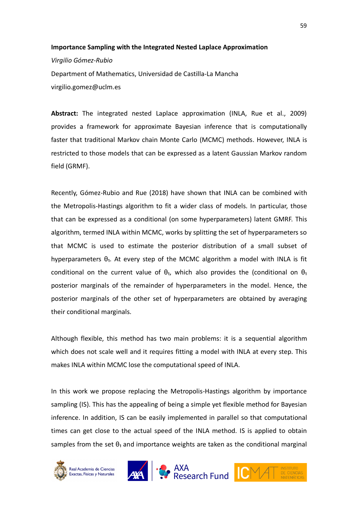## **Importance Sampling with the Integrated Nested Laplace Approximation** *Virgilio Gómez-Rubio* Department of Mathematics, Universidad de Castilla-La Mancha virgilio.gomez@uclm.es

**Abstract:** The integrated nested Laplace approximation (INLA, Rue et al., 2009) provides a framework for approximate Bayesian inference that is computationally faster that traditional Markov chain Monte Carlo (MCMC) methods. However, INLA is restricted to those models that can be expressed as a latent Gaussian Markov random field (GRMF).

Recently, Gómez-Rubio and Rue (2018) have shown that INLA can be combined with the Metropolis-Hastings algorithm to fit a wider class of models. In particular, those that can be expressed as a conditional (on some hyperparameters) latent GMRF. This algorithm, termed INLA within MCMC, works by splitting the set of hyperparameters so that MCMC is used to estimate the posterior distribution of a small subset of hyperparameters  $\theta_1$ . At every step of the MCMC algorithm a model with INLA is fit conditional on the current value of  $\theta_1$ , which also provides the (conditional on  $\theta_1$ posterior marginals of the remainder of hyperparameters in the model. Hence, the posterior marginals of the other set of hyperparameters are obtained by averaging their conditional marginals.

Although flexible, this method has two main problems: it is a sequential algorithm which does not scale well and it requires fitting a model with INLA at every step. This makes INLA within MCMC lose the computational speed of INLA.

In this work we propose replacing the Metropolis-Hastings algorithm by importance sampling (IS). This has the appealing of being a simple yet flexible method for Bayesian inference. In addition, IS can be easily implemented in parallel so that computational times can get close to the actual speed of the INLA method. IS is applied to obtain samples from the set  $\theta_1$  and importance weights are taken as the conditional marginal









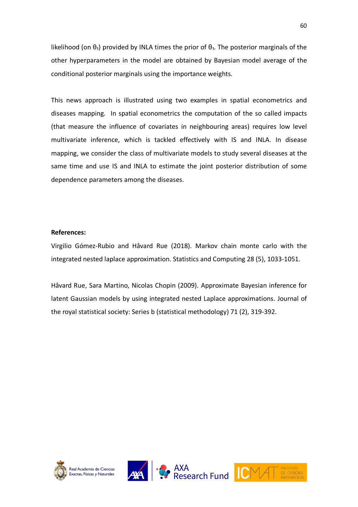likelihood (on  $\theta_1$ ) provided by INLA times the prior of  $\theta_1$ . The posterior marginals of the other hyperparameters in the model are obtained by Bayesian model average of the conditional posterior marginals using the importance weights.

This news approach is illustrated using two examples in spatial econometrics and diseases mapping. In spatial econometrics the computation of the so called impacts (that measure the influence of covariates in neighbouring areas) requires low level multivariate inference, which is tackled effectively with IS and INLA. In disease mapping, we consider the class of multivariate models to study several diseases at the same time and use IS and INLA to estimate the joint posterior distribution of some dependence parameters among the diseases.

#### **References:**

Virgilio Gómez-Rubio and Håvard Rue (2018). Markov chain monte carlo with the integrated nested laplace approximation. Statistics and Computing 28 (5), 1033-1051.

Håvard Rue, Sara Martino, Nicolas Chopin (2009). Approximate Bayesian inference for latent Gaussian models by using integrated nested Laplace approximations. Journal of the royal statistical society: Series b (statistical methodology) 71 (2), 319-392.







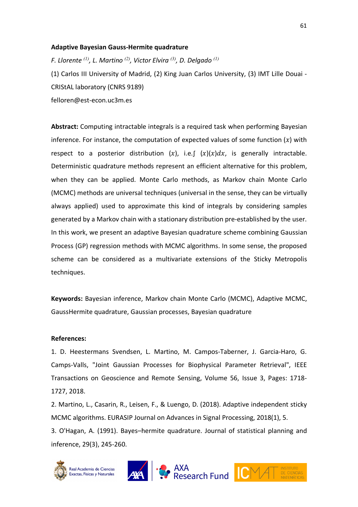#### **Adaptive Bayesian Gauss-Hermite quadrature**

*F. Llorente (1), L. Martino (2), Victor Elvira (3), D. Delgado (1)* (1) Carlos III University of Madrid, (2) King Juan Carlos University, (3) IMT Lille Douai - CRIStAL laboratory (CNRS 9189) felloren@est-econ.uc3m.es

**Abstract:** Computing intractable integrals is a required task when performing Bayesian inference. For instance, the computation of expected values of some function  $(x)$  with respect to a posterior distribution  $(x)$ , i.e. $\int (x)(x)dx$ , is generally intractable. Deterministic quadrature methods represent an efficient alternative for this problem, when they can be applied. Monte Carlo methods, as Markov chain Monte Carlo (MCMC) methods are universal techniques (universal in the sense, they can be virtually always applied) used to approximate this kind of integrals by considering samples generated by a Markov chain with a stationary distribution pre-established by the user. In this work, we present an adaptive Bayesian quadrature scheme combining Gaussian Process (GP) regression methods with MCMC algorithms. In some sense, the proposed scheme can be considered as a multivariate extensions of the Sticky Metropolis techniques.

**Keywords:** Bayesian inference, Markov chain Monte Carlo (MCMC), Adaptive MCMC, GaussHermite quadrature, Gaussian processes, Bayesian quadrature

#### **References:**

1. D. Heestermans Svendsen, L. Martino, M. Campos-Taberner, J. Garcia-Haro, G. Camps-Valls, "Joint Gaussian Processes for Biophysical Parameter Retrieval", IEEE Transactions on Geoscience and Remote Sensing, Volume 56, Issue 3, Pages: 1718- 1727, 2018.

2. Martino, L., Casarin, R., Leisen, F., & Luengo, D. (2018). Adaptive independent sticky MCMC algorithms. EURASIP Journal on Advances in Signal Processing, 2018(1), 5.

3. O'Hagan, A. (1991). Bayes–hermite quadrature. Journal of statistical planning and inference, 29(3), 245-260.





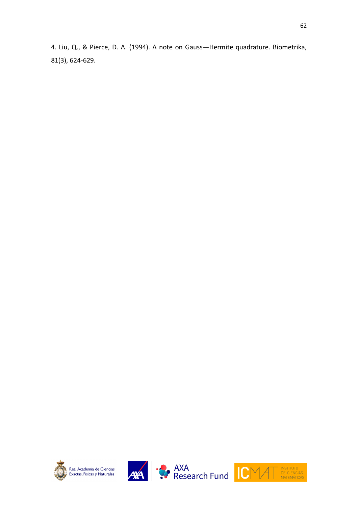4. Liu, Q., & Pierce, D. A. (1994). A note on Gauss—Hermite quadrature. Biometrika, 81(3), 624-629.







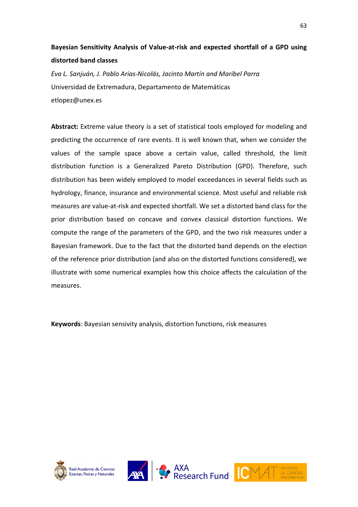## **Bayesian Sensitivity Analysis of Value-at-risk and expected shortfall of a GPD using distorted band classes**

*Eva L. Sanjuán, J. Pablo Arias-Nicolás, Jacinto Martín and Maribel Parra* Universidad de Extremadura, Departamento de Matemáticas etlopez@unex.es

**Abstract:** Extreme value theory is a set of statistical tools employed for modeling and predicting the occurrence of rare events. It is well known that, when we consider the values of the sample space above a certain value, called threshold, the limit distribution function is a Generalized Pareto Distribution (GPD). Therefore, such distribution has been widely employed to model exceedances in several fields such as hydrology, finance, insurance and environmental science. Most useful and reliable risk measures are value-at-risk and expected shortfall. We set a distorted band class for the prior distribution based on concave and convex classical distortion functions. We compute the range of the parameters of the GPD, and the two risk measures under a Bayesian framework. Due to the fact that the distorted band depends on the election of the reference prior distribution (and also on the distorted functions considered), we illustrate with some numerical examples how this choice affects the calculation of the measures.

**Keywords**: Bayesian sensivity analysis, distortion functions, risk measures







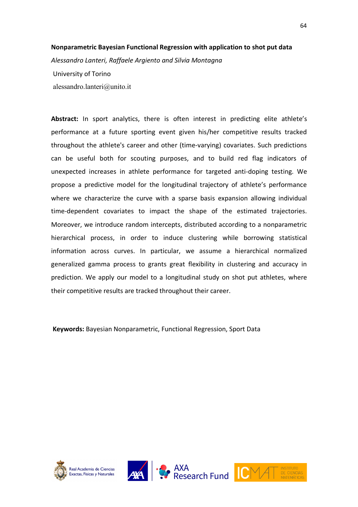#### **Nonparametric Bayesian Functional Regression with application to shot put data**

*Alessandro Lanteri, Raffaele Argiento and Silvia Montagna*

University of Torino alessandro.lanteri@unito.it

**Abstract:** In sport analytics, there is often interest in predicting elite athlete's performance at a future sporting event given his/her competitive results tracked throughout the athlete's career and other (time-varying) covariates. Such predictions can be useful both for scouting purposes, and to build red flag indicators of unexpected increases in athlete performance for targeted anti-doping testing. We propose a predictive model for the longitudinal trajectory of athlete's performance where we characterize the curve with a sparse basis expansion allowing individual time-dependent covariates to impact the shape of the estimated trajectories. Moreover, we introduce random intercepts, distributed according to a nonparametric hierarchical process, in order to induce clustering while borrowing statistical information across curves. In particular, we assume a hierarchical normalized generalized gamma process to grants great flexibility in clustering and accuracy in prediction. We apply our model to a longitudinal study on shot put athletes, where their competitive results are tracked throughout their career.

**Keywords:** Bayesian Nonparametric, Functional Regression, Sport Data